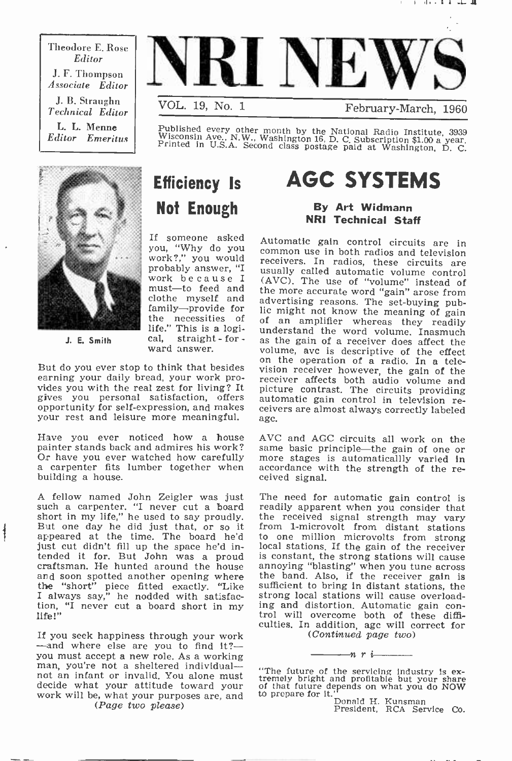Theodore E. Rose Editor J. F. Thompson Associate Editor J. B. Straughn Technical Editor L. L. Menne Editor Emeritus



February-March, 1960

Published every other month by the National Radio Institute, 3939<br>Wisconsin Ave., N.W., Washington 16, D. C. Subscription \$1.00 a year.<br>Printed in U.S.A. Second class postage paid at Washington, D. C.



J. E. Smith

### Efficiency Is Not Enough

work because I the necessities of life." This is a logi-

earning your daily bread, your work provides you with the real zest for living? It picture contrast. The circuits providing gives you personal satisfaction, offers automatic gain control in television regives you personal satisfaction, offers opportunity for self-expression, and makes your rest and leisure more meaningful.

Have you ever noticed how a house AVC and AGC circuits all work on the painter stands back and admires his work? same basic principle—the gain of one or<br>Or have you ever watched how carefully more stages is automaticallly varied in Or have you ever watched how carefully more stages is carpenter fits lumber together when accordance will building a house. building a house.

A fellow named John Zeigler was just The need for automatic gain control is such a carpenter. "I never cut a board readily apparent when you consider that short in my life," he used to say proudly. the received signal stre But one day he did just that, or so it from 1-microvolt from distant stations appeared at the time. The board he'd to one million microvolts from strong appeared at the time. The board he'd just cut didn't fill up the space he'd intended it for. But John was a proud is constant, the strong stations will cause craftsman. He hunted around the house annoying "blasting" when you tune across and soon spotted another opening where the band. Also, if the r and soon spotted another opening where the "short" piece fitted exactly. "Like I always say," he nodded with satisfaction, "I never cut a board short in my life!"

If you seek happiness through your work  $-$ and where else are you to find it? $$ you must accept a new role. As a working man, you're not a sheltered individualnot an infant or invalid. You alone must decide what your attitude toward your work will be, what your purposes are, and (Page two please)

### AGC SYSTEMS

### By Art Widmann NRI Technical Staff

If someone asked Automatic gain control circuits are in<br>you, "Why do you common use in both radios and television work?," you would common use in both radios and television probably answer, "I receivers. In radios, these circuits are must—to feed and the more accurate word "gain" arose from clothe myself and advertising reasons. The set-buying pub-<br>family—provide for lic might not know the meaning of gain family—provide for lic might not know the meaning pub-<br>the necessities of of an amplifier whereas they readily If the." This is a logi-<br>
J. E. Smith cal, straight - for - as the gain of a receiver does affect the<br>
ward answer. volume, avc is descriptive of the effect<br>
But do you ever stop to think that besides<br>
on the operation of common use in both radios and television (AVC). The use of "volume" instead of volume, ave is descriptive of the effect<br>on the operation of a radio. In a telepicture contrast. The circuits providing agc.

> same basic principle-the gain of one or accordance with the strength of the re-

The need for automatic gain control is readily apparent when you consider that from 1-microvolt from distant stations local stations. If the gain of the receiver annoying "blasting" when you tune across sufficient to bring In distant stations, the strong local stations will cause overloading and distortion. Automatic gain con- trol will overcome both of these difficulties. In addition, agc will correct for (Continued page two)

"The future of the servicing industry is ex-<br>tremely bright and profitable but your share<br>of that future depends on what you do NOW<br>to prepare for it."<br> $\frac{1}{2}$ 

 $\longrightarrow$ nri $\longrightarrow$ nri

Donald H. Kunsman<br>President, RCA Service Co.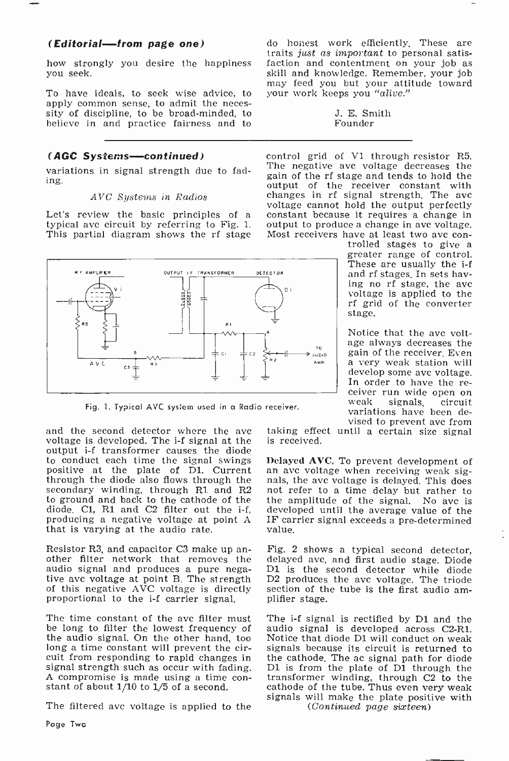### (Editorial-from page one)

you seek.

To have ideals, to seek wise advice, to apply common sense, to admit the neces- sity of discipline, to be broad-minded, to believe in and practice fairness and to

#### (AGC Systems-continued)

variations in signal strength due to fading.

#### AVC Sustems in Radios

This partial diagram shows the rf stage



Fig. 1. Typical AVC system used in a Radio receiver.

and the second detector where the avc voltage is developed. The i-f signal at the output i-f transformer causes the diode<br>to conduct each time the signal swings Delayed AVC. To prevent development of positive at the plate of D1. Current an ave voltage when receiving weak signal positive at the diode also flows through the nals, the ave voltage is delayed. This does through the diode also flows through the secondary winding, through R1 and R2 to ground and back to the cathode of the the amplitude of the signal. No ave is diode, C1, R1 and C2 filter out the i-f, developed until the average value of the diode. C1, R1 and C2 filter out the i-f, producing a negative voltage at point A that is varying at the audio rate.

Resistor R3, and capacitor C3 make up an- $\overline{Fig. 2}$  shows a typical second detector, other filter network that removes the delayed avc, and first audio stage. Diode audio signal and produces a pure negative avc voltage at point B. The strength of this negative AVC voltage is directly proportional to the i-f carrier signal.

The time constant of the avc filter must be long to filter the lowest frequency of the audio signal. On the other hand, too long a time constant will prevent the circuit from responding to rapid changes in signal strength such as occur with fading. A compromise is made using a time con- stant of about 1/10 to 1/5 of a second.

The filtered ave voltage is applied to the

how strongly you desire the happiness faction and contentment on your job as you seek.<br>
skill and knowledge. Remember, your job do honest work efficiently. These are traits just as important to personal satisfaction and contentment on your job as may feed you but your attitude toward your work keeps you "alive."

J. E. Smith Founder

Let's review the basic principles of a constant because it requires a change in typical avc circuit by referring to Fig. 1. output to produce a change in avc voltage. control grid of V1 through resistor R5. The negative ave voltage decreases the gain of the rf stage and tends to hold the output of the receiver constant with<br>changes in rf signal strength. The ave voltage cannot hold the output perfectly constant because it requires a change in Most receivers have at least two ave con-<br>trolled stages to give a

greater range of control.<br>These are usually the i-f and rf stages. In sets havvoltage is applied to the rf grid of the converter stage.

Notice that the avc voltage always decreases the gain of the receiver. Even a very weak station will In order to have the re-<br>ceiver run wide open on<br>weak signals, circuit variations have been devised to prevent ave from

taking effect until a certain size signal is received.

an avc voltage when receiving weak signot refer to a time delay but rather to the amplitude of the signal. No ave is IF carrier signal exceeds a pre-determined value.

delayed avc, and first audio stage. Diode D1 is the second detector while diode D2 produces the ave voltage. The triode section of the tube is the first audio am- plifier stage.

The i-f signal is rectified by D1 and the audio signal is developed across C2-R1. Notice that diode D1 will conduct on weak signals because its circuit is returned to the cathode. The ac signal path for diode D1 is from the plate of  $D_1$  through the transformer winding, through C2 to the cathode of the tube. Thus even very weak signals will make the plate positive with (Continued page sixteen)

Page Two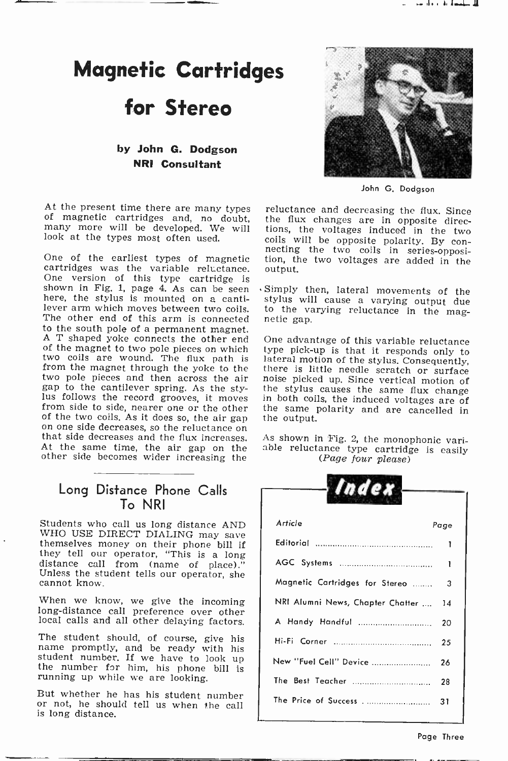### Magnetic Cartridges

### for Stereo

### by John G. Dodgson NRI Consultant

At the present time there are many types reluctance and decreasing the flux. Since of magnetic cartridges and, no doubt, the flux changes are in opposite direcmany more will be developed. We will look at the types most often used.

One version of this type cartridge is<br>shown in Fig. 1, page 4. As can be seen Simply then, lateral movements of the shown in Fig. 1, page 4. As can be seen here, the stylus is mounted on a cantilever arm which moves between two coils. to the value of the value of this arm is connected netic gap. The other end of this arm is connected<br>to the south pole of a permanent magnet. A T shaped yoke connects the other end of the magnet to two pole pieces on which type pick-up is that it responds only to two coils are wound. The flux path is lateral motion of the stylus. Consequently, from the magnet through the yoke to the there is little needle scratch or surface from the magnet through the yoke to the there is little needle scratch or surface two pole pieces and then across the air noise picked up. Since vertical motion of two pole pieces and then across the air noise picked up. Since vertical motion of gap to the cantilever spring. As the sty-<br>the stylus causes the same flux change Ius follows the record grooves, it moves in both coils, the induced voltages are of from side to side, nearer one or the other the same polarity and are cancelled in of the two coils. As it does so, the air gap the output. on one side decreases, so the reluctance on<br>that side decreases and the flux increases. As shown in Fig. 2, the monophonic vari-At the same time, the air gap on the other side becomes wider increasing the

### Long Distance Phone Calls To NRI

Students who call us long distance AND<br>WHO USE DIRECT DIALING may save themselves money on their phone bill if they tell our operator, "This is a long distance call from (name of place)." Unless the student tells our operator, she cannot know.

When we know, we give the incoming long-distance call preference over other local calls and all other delaying factors.

The student should, of course, give his name promptly, and be ready with his student number. If we have to look up the number for him, his phone bill is running up while we are looking.

But whether he has his student number or not, he should tell us when the call is long distance.



John G. Dodgson

One of the earliest types of magnetic tion, the two coils in series-opposi-<br>cartridges was the variable reluctance. output. the flux changes are in opposite directions, the voltages induced in the two coils will be opposite polarity. By conoutput.

> stylus will cause a varying output due to the varying reluctance in the mag-

> One advantage of this variable reluctance lateral motion of the stylus. Consequently, in both coils, the induced voltages are of

> able reluctance type cartridge is easily  $(Page\ four\ please)$

| naex                             |      |
|----------------------------------|------|
| Article                          | Page |
|                                  | ı    |
|                                  | ı    |
| Magnetic Cartridges for Stereo   | 3    |
| NRI Alumni News, Chapter Chatter | 14   |
| A Handy Handful                  | 20   |
|                                  | 25   |
| New "Fuel Cell" Device           | 26   |
|                                  | 28   |
| The Price of Success             | 31   |
|                                  |      |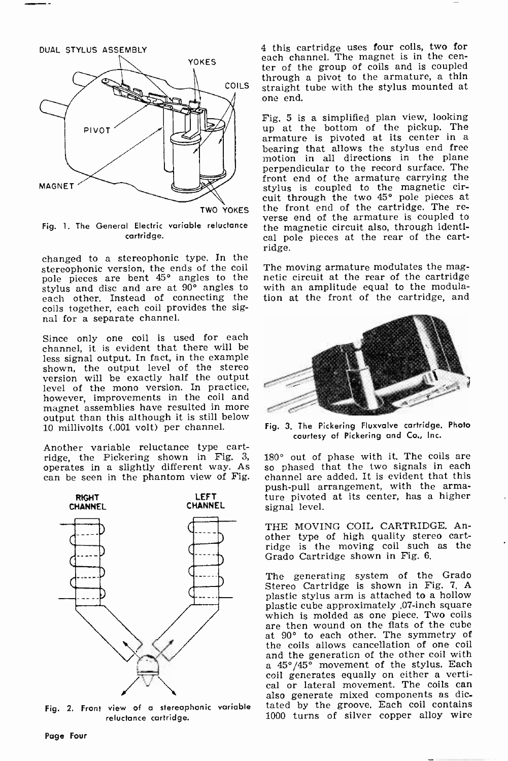

Fig. 1. The General Electric variable reluctance cartridge.

changed to a stereophonic type. In the stereophonic version, the ends of the coil pole pieces are bent 45° angles to the stylus and disc and are at 90° angles to each other. Instead of connecting the coils together, each coil provides the signal for a separate channel.

Since only one coil is used for each channel, it is evident that there will be less signal output. In fact, in the example shown, the output level of the stereo version will be exactly half the output level of the mono version. In practice, however, improvements in the coil and magnet assemblies have resulted in more output than this although it is still below 10 millivolts (.001 volt) per channel.

Another variable reluctance type cartridge, the Pickering shown in Fig. 3, operates in a slightly different way. As can be seen in the phantom view of Fig.



Fig. 2. Front view of a stereophonic variable  $\quad$  ta reluctance cartridge.

4 this cartridge uses four coils, two for ter of the group of coils and is coupled through a pivot to the armature, a thin straight tube with the stylus mounted at one end.

TWO YOKES the front end of the cartridge. The re-<br>verse end of the armature is coupled to Fig. 5 is a simplified plan view, looking up at the bottom of the pickup. The armature is pivoted at its center in a bearing that allows the stylus end free motion in all directions in the plane perpendicular to the record surface. The front end of the armature carrying the stylus is coupled to the magnetic cir-cuit through the two 45° pole pieces at the front end of the cartridge. The rethe magnetic circuit also, through identical pole pieces at the rear of the cartridge.

> The moving armature modulates the magnetic circuit at the rear of the cartridge with an amplitude equal to the modulation at the front of the cartridge, and



Fig. 3. The Pickering Fluxvalve cartridge. Photo courtesy of Pickering and Co., Inc.

180° out of phase with it. The coils are so phased that the two signals in each channel are added. It is evident that this push-pull arrangement, with the armature pivoted at its center, has a higher signal level.

THE MOVING COIL CARTRIDGE. Another type of high quality stereo cartridge is the moving coil such as the Grado Cartridge shown in Fig. 6.

The generating system of the Grado Stereo Cartridge is shown in Fig. 7. A plastic stylus arm is attached to a hollow plastic cube approximately .07 -inch square which is molded as one piece. Two coils are then wound on the fiats of the cube at 90° to each other. The symmetry of the coils allows cancellation of one coil a 45°/45° movement of the stylus. Each coil generates equally on either a vertical or lateral movement. The coils can also generate mixed components as dicalso generate mixed components as dic-<br>tated by the groove. Each coil contains 1000 turns of silver copper alloy wire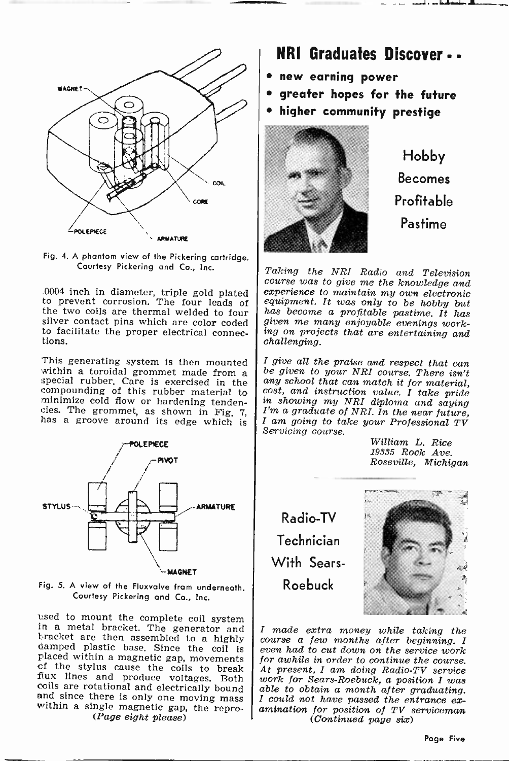



silver contact pins which are color coded  $\int$  given me many enjoyable evenings work-<br>to facilitate the proper electrical connec-  $\int$  ing on projects that are entertaining and to facilitate the proper electrical connec- tions.

This generating system is then mounted within a toroidal grommet made from a special rubber. Care is exercised in the compounding of this rubber material to minimize cold flow or hardening tendencies. The grommet, as shown in Fig. 7,  $\begin{bmatrix} I' \\ I \end{bmatrix}$  has a groove around its edge which is



Fig. 5. A view of the Fluxvalve from underneath. Courtesy Pickering and Co., Inc.

used to mount the complete coil system<br>in a metal bracket. The generator and<br>bracket are then assembled to a highly<br>damped plastic base. Since the coil is<br>placed within a magnetic gap, movements<br>of the stylus cause the co

### NRI Graduates Discover - -

- new earning power
- greater hopes for the future
- higher community prestige



Hobby Becomes Profitable Pastime

.0004 inch in diameter, triple gold plated  $\begin{array}{c|c} \text{experience to maintain my own electronic} \\ \text{to prevent corrosion.} \\ \text{the two coils are thermal welled to four} \\ \text{size of the two coils are thermal welled to four} \\ \text{size of the two coils are color coded} \\ \text{size of the two coils are color coded} \\ \text{size of the two coils are color coded} \\ \text{size of the two coils are color.} \end{array}$ Taking the NRI Radio and Television<br>course was to give me the knowledge and<br>experience to maintain my own electronic<br>equipment. It was only to be hobby but<br>has become a profitable pastime. It has<br>given me many enjoyable ev

> <sup>I</sup>give all the praise and respect that can be given to your NRI course. There isn't cost, and instruction value. I take pride<br>in showing my NRI diploma and saying<br>I'm a graduate of NRI. In the near future,<br>I am going to take your Professional TV<br>Servicing course.<br>William L. Rice

19335 Rock Ave. Roseville, Michigan

Radio-TV Technician With Sears-Roebuck



I made extra money while taking the course a few months after beginning. I even had to cut down on the service work At present, I am doing Radio-TV service. work for Sears-Roebuck, a position I was able to obtain a month after graduating.<br>I could not have passed the entrance ex-<br>amination for position of TV serviceman (Continued page six)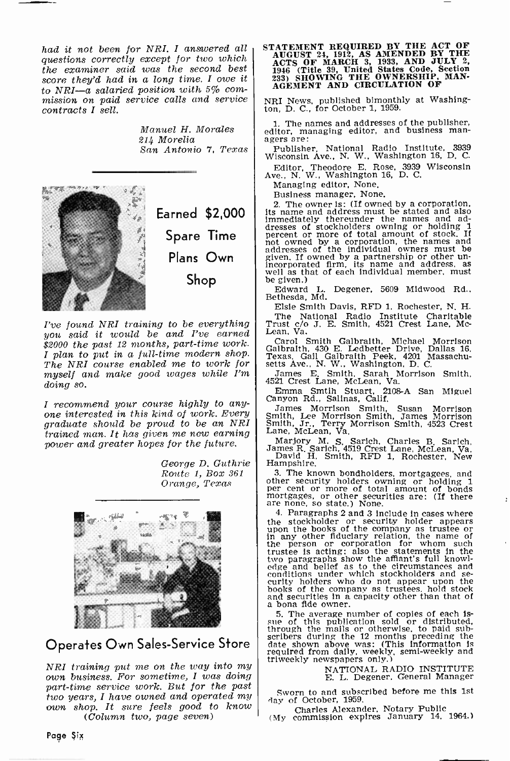had it not been for NRI. I answered all questions correctly except for two which the examiner said was the second best score they'd had in a long time. I owe it to NRI-a salaried position with 5% commission on paid service calls and service contracts I sell.

> Manuel H. Morales 214 Morelia



I've found NRI training to be everything you said it would be and I've earned \$2000 the past 12 months, part-time work. I plan to put in a full-time modern shop. The NRI course enabled me to work for myself and make good wages while I'm doing so.

<sup>I</sup>recommend your course highly to any- one interested in this kind of work. Every graduate should be proud to be an NRI trained man. It has given me new earning power and greater hopes for the future.

> George D. Guthrie | Hampshire. Route 1, Box 361 Orange, Texas



### Operates Own Sales-Service Store

NEI training put me on the way into my own business. For sometime, I was doing part-time service work. But for the past two years, I have owned and operated my<br>own shop. It sure feels good to know (Column two, page seven)

STATEMENT REQUIRED BY THE ACT OF AUGUST 24, 1912, AS AMENDED BY THE ACTS OF MARCH 3, 1933, AND JULY 2, 1946 (Title 39, UNITED States Code, Section 233) SHOWING THE OWNERSHIP, MAN-<br>AGEMENT AND CIRCULATION OF AGEMENT AND CIR

NRI News, published bimonthly at Washing-ton, D. C., for October 1, 1959.

1. The names and addresses of the publisher, editor, managing editor, and business managers are:<br>agers are:<br>Publisher, National Radio Institute, 3939

San Antonio 7. Texas Publisher, National Radio Institute, 3939<br>Wisconsin Ave., N. W., Washington 16, D. C.

Wisconsin Ave., N. W., Washington 16, D. C. Editor, Theodore E. Rose, 3939 Wisconsin Ave., N. W., Washington 16, D. C.

Managing editor, None.<br>Business manager, None.

Business manager, None,<br>2. The owner is: (If owned by a corporation,<br>its name and address must be stated and also<br>Immediately thereunder the names and ad-<br>dresses of stockholders owning or holding 1<br>percent or more of tota

Edward L. Degener, 5609 Midwood Rd., Bethesda, Md.

Elsie Smith Davis, RFD 1, Rochester, N. H. The National Radio Institute Charitable Trust c/o J. E. Smith, 4521 Crest Lane, Mc-Lean, Va.

Carol Smith Galbraith, Michael Morrison Galbraith, 430 E. Ledbetter Drive, Dallas 16, Texas. Gail Galbraith Peek, 4201 Massachu-setts Ave., N. W., Washington, D. C.

James E. Smith, Sarah Morrison Smith, 4521 Crest Lane, McLean, Va.

Emma Smtih Stuart, 2108-A San Miguel Canyon Rd., Salinas, Calif.

James Morrison Smith, Susan Morrison Smith, Lee Morrison Smith, James Morrison Smith, Jr., Terry Morrison Smith, 4523 Crest Lane, McLean, Va.

Marjory M. S. Sarich, Charles B. Sarich, James R. Sarich, 4519 Crest Lane, McLean, Va. David H. Smith, RFD 1, Rochester, New

3. The known bondholders, mortgagees, and other security holders owning or holding 1 per cent or more of total amount of bonds mere none, so state.) None.

4. Paragraphs 2 and 3 include in cases where<br>the stockholder or security holder appears<br>top the books of the company as trustee or<br>in any other fiduclary relation, the name of<br>the person or corporation for whom such<br>trust

5. The average number of copies of each is-<br>sue of this publication sold or distributed,<br>through the mails or otherwise, to paid sub-<br>scribers during the 12 months preceding the<br>date shown above was: (This information is<br>r triweekly newspapers only.)

NATIONAL RADIO INSTITUTE E. L. Degener, General Manager

Sworn to and subscribed before me this 1st<br>day of October, 1959.

Charles Alexander, Notary Public (My commission expires January 14. 1964.)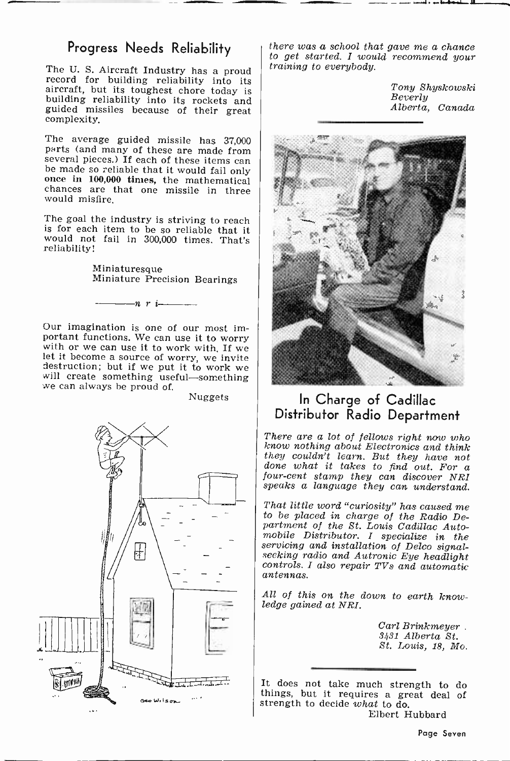### Progress Needs Reliability

The U. S. Aircraft Industry has a proud record for building reliability into its aircraft, but its toughest chore today is building reliability into its rockets and guided missiles because of their great complexity.

The average guided missile has 37,000 parts (and many of these are made from several pieces.) If each of these items can be made so reliable that it would fail only once in 100,000 times, the mathematical chances are that one missile in three would misfire.

The goal the industry is striving to reach<br>is for each item to be so reliable that it would not fail in 300,000 times. That's reliability!

Miniaturesque Miniature Precision Bearings

Our imagination is one of our most im-<br>portant functions. We can use it to worry with or we can use it to work with. If we<br>let it become a source of worry, we invite<br>destruction; but if we put it to work we<br>destruction; but if we put it to work we<br>we can always be proud of.

 $-n$  r  $i$ 

Nuggets



there was a school that gave me a chance to get started. I would recommend your training to everybody.

Tony Shyskowski Beverly Alberta, Canada

. ....1... x <sup>Y</sup>



### In Charge of Cadillac Distributor Radio Department

There are a lot of fellows right now who<br>know nothing about Electronics and think know wouldn't learn. But they have not done what it takes to find out. For a four-cent stamp they can discover NRI speaks a language they can understand.

That little word "curiosity" has caused me to be placed in charge of the Radio Department of the St. Louis Cadillac Auto-<br>mobile Distributor. I specialize in the servicing and installation of Delco signal-seeking radio and Autronic Eye headlight<br>controls. I also repair TVs and automatic antennas.

All of this on the down to earth know- ledge gained at NRI.

Carl Brinkmeyer . 3431 Alberta St. St. Louis, 18, Mo.

It does not take much strength to do things, but it requires a great deal of strength to decide what to do. Elbert Hubbard

Page Seven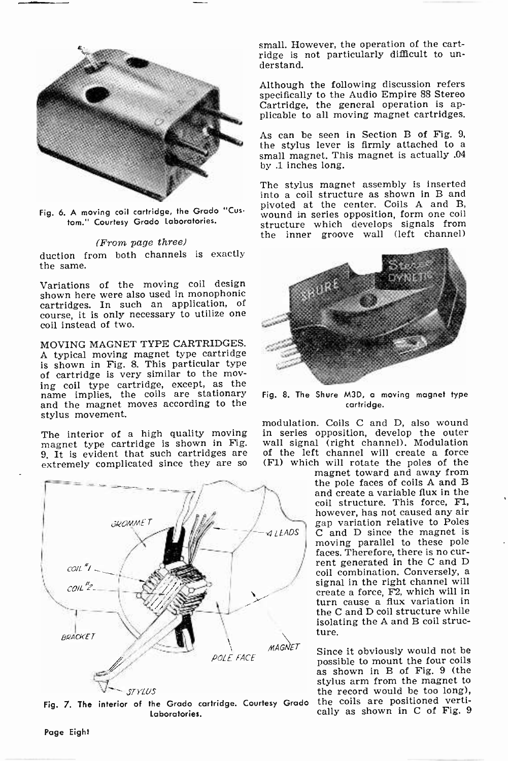

Fig. 6. A moving coil cartridge, the Grado "Custom." Courtesy Grado Laboratories.

#### (From page three)

duction from both channels is exactly the same.

Variations of the moving coil design shown here were also used in monophonic cartridges. In such an application, of course, it is only necessary to utilize one coil instead of two.

MOVING MAGNET TYPE CARTRIDGES. A typical moving magnet type cartridge is shown in Fig. 8. This particular type<br>of cartridge is very similar to the moving coil type cartridge, except, as the<br>name implies, the coils are stationary and the magnet moves according to the stylus movement.

The interior of a high quality moving magnet type cartridge is shown in Fig. 9. It is evident that such cartridges are extremely complicated since they are so



Laboratories.

small. However, the operation of the cartridge is not particularly difficult to un- derstand.

Although the following discussion refers specifically to the Audio Empire 88 Stereo Cartridge, the general operation is applicable to all moving magnet cartridges.

As can be seen in Section B of Fig. 9, the stylus lever is firmly attached to a small magnet. This magnet is actually .04 by .1 inches long.

The stylus magnet assembly is inserted into a coil structure as shown in B and pivoted at the center. Coils A and B, wound in series opposition, form one coil structure which develops signals from the inner groove wall (left channel)



Fig. 8. The Shure M3D, a moving magnet type cartridge.

modulation. Coils C and D, also wound in series opposition, develop the outer wall signal (right channel). Modulation of the left channel will create a force (F1) which will rotate the poles of the

magnet toward and away from the pole faces of coils A and B and create a variable flux in the coil structure. This force, Fl, however, has not caused any air gap variation relative to Poles C and D since the magnet is moving parallel to these pole faces. Therefore, there is no cur-<br>rent generated in the C and D<br>coil combination. Conversely, a signal in the right channel will create a force, F2, which will in turn cause a flux variation in the C and D coil structure while isolating the A and B coil structure.

 $POLE$  *FACE* Since it obviously would not be  $POLE$  *FACE* possible to mount the four coils possible to mount the four coils as shown in B of Fig. 9 (the as shown in B of Fig. 9 (the stylus arm from the magnet to the record would be too long), the coils are positioned vertically as shown in C of Fig. 9

Page Eight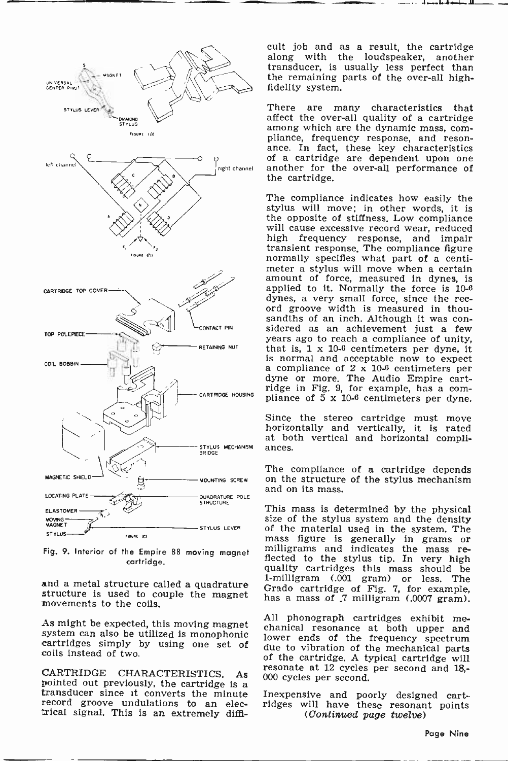

Fig. 9. Interior of the Empire 88 moving magnet cartridge.

and a metal structure called a quadrature structure is used to couple the magnet movements to the coils.

coils instead of two.

CARTRIDGE CHARACTERISTICS. As<br>pointed out previously, the cartridge is a transducer since it converts the minute<br>record groove undulations to an elec-<br>trical signal. This is an extremely difficult job and as a result, the cartridge along with the loudspeaker, another transducer, is usually less perfect than the remaining parts of the over-all high- fidelity system.

There are many characteristics that affect the over-all quality of a cartridge among which are the dynamic mass, compliance, frequency response, and reson-<br>ance. In fact, these key characteristics<br>of a cartridge are dependent upon one another for the over-all performance of the cartridge.

CARTRIDGE HOUSING pliance of  $5 \times 10^{-6}$  centimeters per dyne. The compliance indicates how easily the stylus will move; in other words, it is will cause excessive record wear, reduced high frequency response, and impair transient response, The compliance figure normally specifies what part of a centimeter a stylus will move when a certain amount of force, measured in dynes, is applied to it. Normally the force is 10-6 dynes, a very small force, since the rec-<br>ord groove width is measured in thousandths of an inch. Although it was considered as an achievement just a few years ago to reach a compliance of unity. that is,  $1 \times 10^{-6}$  centimeters per dyne, it is normal and acceptable now to expect a compliance of  $2 \times 10^{-6}$  centimeters per dyne or more. The Audio Empire cartridge in Fig. 9, for example, has a com-

Since the stereo cartridge must move horizontally and vertically, it is rated

ances.<br>The compliance of a cartridge depends<br>on the structure of the stylus mechanism<br>and on its mass.

and on its mass. This mass is determined by the physical size of the stylus system and the density of the material used in the system. The mass figure is generally in grams or milligrams and indicates the mass re-<br>flected to the stylus tip. In very high<br>quality cartridges this mass should be quality cartridges this mass should be<br>1-milligram (.001 gram) or less. The<br>Grado cartridge of Fig. 7, for example. has a mass of 7 milligram (.0007 gram).

As might be expected, this moving magnet<br>system can also be utilized is monophonic cartridges simply by using one set of due to vibration of the mechanical parts<br>cartridges simply by using one set of due to vibration of t All phonograph cartridges exhibit meof the cartridge. A typical cartridge will resonate at 12 cycles per second and 18,- 000 cycles per second.

> Inexpensive and poorly designed cartridges will have these resonant points (Continued page twelve)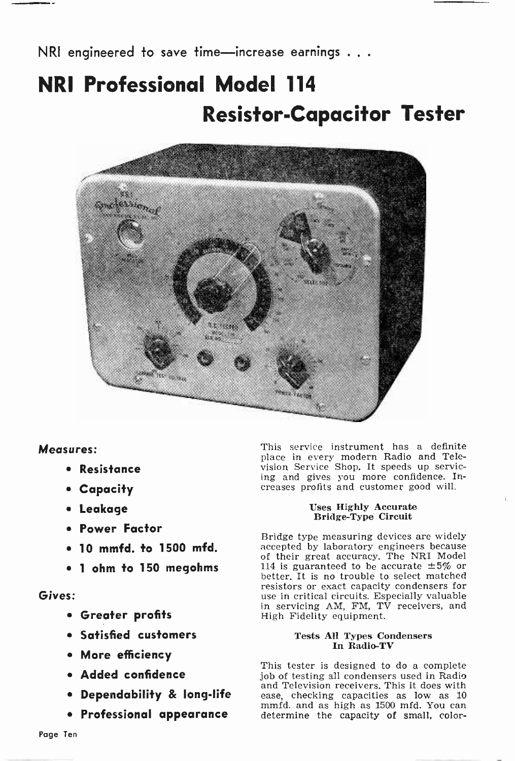# NRI Professional Model 114 Resistor -Capacitor Tester



### Measures:

- Resistance
- Capacity
- Leakage
- Power Factor
- 10 mmfd. to 1500 mfd.
- 1 ohm to 150 megohms

### Gives:

- Greater profits
- Satisfied customers
- More efficiency
- Added confidence
- **Dependability & long-life**
- 

This service instrument has a definite place in every modern Radio and Television Service Shop. It speeds up servicing and gives you more confidence. Increases profits and customer good will.

### Uses Highly Accurate Bridge -Type Circuit

Bridge type measuring devices are widely accepted by laboratory engineers because of their great accuracy. The NRI Model 114 is guaranteed to be accurate  $\pm 5\%$  or better. It is no trouble to select matched resistors or exact capacity condensers for use in critical circuits. Especially valuable in servicing AM, FM, TV receivers, and High Fidelity equipment.

### Tests All Types Condensers In Radio-TV

• Professional appearance determine the capacity of small, color-This tester is designed to do a complete job of testing all condensers used in Radio and Television receivers. This it does with ease, checking capacities as low as 10 mmfd. and as high as 1500 mfd. You can determine the capacity of small, color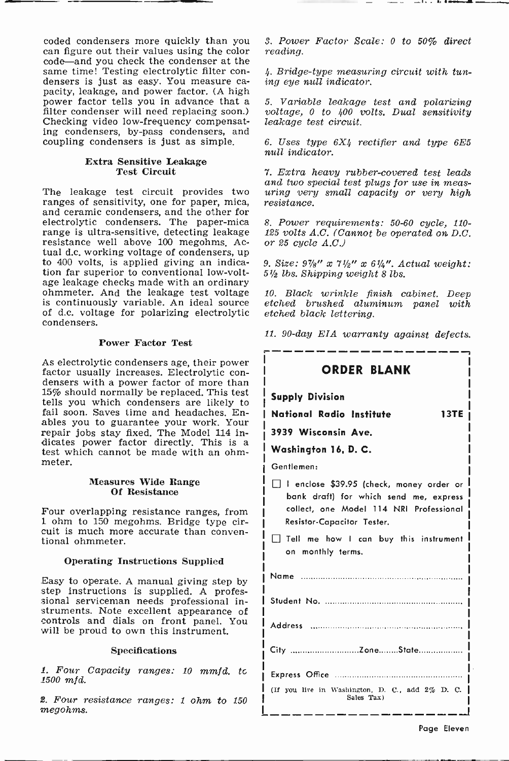coded condensers more quickly than you can figure out their values using the color same time! Testing electrolytic filter condensers is just as easy. You measure ca- pacity, leakage, and power factor. (A high power factor tells you in advance that a 5. Variable leakage test and polarizing filter condenser will need replacing soon.) voltage, 0 to 400 volts. Dual sensitivity Checking video low-frequency compensat- leakage test ci ing condensers, by-pass condensers, and coupling condensers is just as simple.

### Extra Sensitive Leakage Test Circuit

The leakage test circuit provides two  $uring\ ver$ <br>ranges of sensitivity, one for paper mica, resistance. ranges of sensitivity, one for paper, mica, and ceramic condensers, and the other for electrolytic condensers. The paper-mica range is ultra -sensitive, detecting leakage resistance well above 100 megohms. Acresistance well above 100 megohms. Ac- or 25 cycle  $A.C.J$ <br>tual d.c. working voltage of condensers, up to 400 volts, is applied giving an indication far superior to conventional low-volt-<br>age leakage checks made with an ordinary ohmmeter. And the leakage test voltage is continuously variable. An ideal source of d.c. voltage for polarizing electrolytic condensers.

#### Power Factor Test

As electrolytic condensers age, their power<br>factor usually increases. Electrolytic con-<br>densers with a power factor of more than 15% should normally be replaced. This test tells you which condensers are likely to fail soon. Saves time and headaches. Enables you to guarantee your work. Your repair jobs stay fixed. The Model 114 indicates power factor directly. This is a test which cannot be made with an ohmmeter.

#### Measures Wide Range Of Resistance

Four overlapping resistance ranges, from 1 ohm to 150 megohms. Bridge type circuit is much more accurate than conven- tional ohmmeter.

#### Operating Instructions Supplied

Easy to operate. A manual giving step by step instructions is supplied. A profes- sional serviceman needs professional instruments. Note excellent appearance of controls and dials on front panel. You will be proud to own this instrument.

#### Specifications

1. Four Capacity ranges: 10 mmfd. to 1500 mfd.

2. Four resistance ranges: 1 ohm to <sup>150</sup> megohms.

3. Power Factor Scale: 0 to 50% direct reading.

4. Bridge -type measuring circuit with tuning eye null indicator.

5. Variable leakage test and polarizing

6. Uses type 6X4 rectifier and type 6E5 mull indicator.

7. Extra heavy rubber -covered test leads aring very small capacity or very high

8. Power requirements: 50-60 cycle, 110- 125 volts  $A.C.$  (Cannot be operated on D.C.

9. Size:  $9\frac{7}{8}$ " x  $7\frac{1}{2}$ " x  $6\frac{1}{4}$ ". Actual weight: 51/e lbs. Shipping weight 8 lbs.

10. Black wrinkle finish cabinet. Deep etched brushed aluminum panel with etched black lettering.

11. 90 -day EIA warranty against defects.

| <b>ORDER BLANK</b>                                                                                                                                          |             |
|-------------------------------------------------------------------------------------------------------------------------------------------------------------|-------------|
| <b>Supply Division</b>                                                                                                                                      |             |
| National Radio Institute                                                                                                                                    | <b>13TE</b> |
| 3939 Wisconsin Ave.                                                                                                                                         |             |
| Washington 16, D. C.                                                                                                                                        |             |
| Gentlemen:                                                                                                                                                  |             |
| I enclose \$39.95 (check, money order or<br>bank draft) for which send me, express<br>collect, one Model 114 NRI Professional<br>Resistor-Capacitor Tester. |             |
| Tell me how I can buy this instrument<br>on monthly terms.                                                                                                  |             |
|                                                                                                                                                             |             |
|                                                                                                                                                             |             |
|                                                                                                                                                             |             |
| City ZoneState                                                                                                                                              |             |
|                                                                                                                                                             |             |
| (If you live in Washington, D. C., add 2% D. C.<br>Sales Tax)                                                                                               |             |
|                                                                                                                                                             |             |

Page Eleven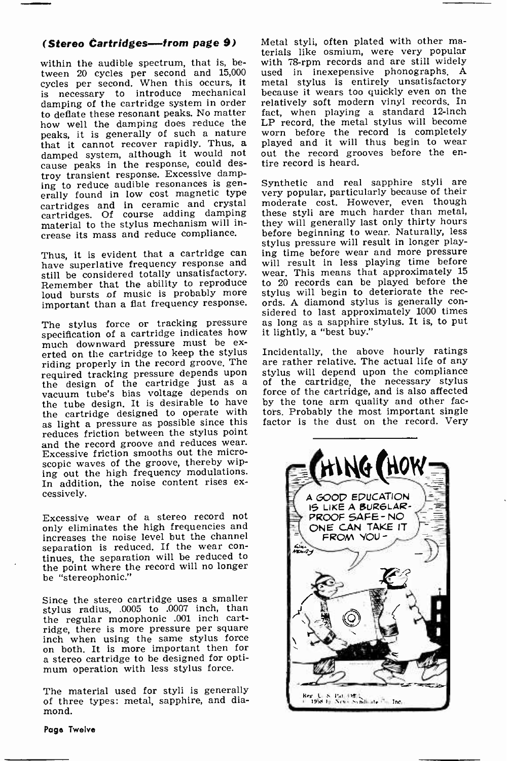within the audible spectrum, that is, between 20 cycles per second and 15,000 cycles per second. When this occurs, it is necessary to introduce mechanical damping of the cartridge system in order to deflate these resonant peaks. No matter fact, when playing a standard 12-inch<br>how well the damping does reduce the LP record, the metal stylus will become how well the damping does reduce the peaks, it is generally of such a nature<br>that it cannot recover rapidly. Thus, a damped system, although it would not cause peaks in the response, could destroy transient response. Excessive damping to reduce audible resonances is generally found in low cost magnetic type cartridges and in ceramic and crystal cartridges. Of course adding damping material to the stylus mechanism will in- crease its mass and reduce compliance.

still be considered totally unsatisfactory. Remember that the ability to reproduce<br>loud bursts of music is probably more

specification of a cartridge indicates how<br>much downward pressure must be exerted on the cartridge to keep the stylus riding properly in the record groove. The required tracking pressure depends upon<br>the design of the cartridge just as a vacuum tube's bias voltage depends on<br>the tube design. It is desirable to have<br>the cartridge designed to operate with as light a pressure as possible since this factor is the dust on the record. Very reduces friction between the stylus point<br>and the record groove and reduces wear. Excessive friction smooths out the microscopic waves of the groove, thereby wiping out the high frequency modulations. In addition, the noise content rises ex-<br>cessively.

Excessive wear of a stereo record not only eliminates the high frequencies and increases the noise level but the channel tinues, the separation will be reduced to the point where the record will no longer be "stereophonic."

Since the stereo cartridge uses a smaller stylus radius, .0005 to .0007 inch, than the regular monophonic .001 inch cartridge, there is more pressure per square<br>inch when using the same stylus force on both. It is more important then for<br>a stereo cartridge to be designed for opti-<br>mum operation with less stylus force.

The material used for styli is generally of three types: metal, sapphire, and diamond.

(Stereo Cartridges-from page 9) Metal styli, often plated with other materials like osmium, were very popular with 78-rpm records and are still widely used in inexepensive phonographs. A metal stylus is entirely unsatisfactory because it wears too quickly even on the relatively soft modern vinyl records. In fact, when playing a standard 12-inch LP record, the metal stylus will become worn before the record Is completely played and it will thus begin to wear out the record grooves before the en-<br>tire record is heard.

Thus, it is evident that a cartridge can ing time before wear and more pressure have superlative frequency response and will result in less playing time before important than a flat frequency response. ords. A diamond stylus is generally con-<br>sidered to last approximately 1000 times The stylus force or tracking pressure as long as a sapphire stylus. It is, to put Synthetic and real sapphire styli are very popular, particularly because of their moderate cost. However, even though these styli are much harder than metal, they will generally last only thirty hours before beginning to wear. Naturally, less stylus pressure will result in longer playing time before wear and more pressure wear. This means that approximately 15 to 20 records can be played before the stylus will begin to deteriorate the recit lightly, a "best buy."

> Incidentally, the above hourly ratings are rather relative. The actual life of any stylus will depend upon the compliance of the cartridge, the necessary stylus force of the cartridge, and is also affected by the tone arm quality and other factors. Probably the most important single



Page Twelve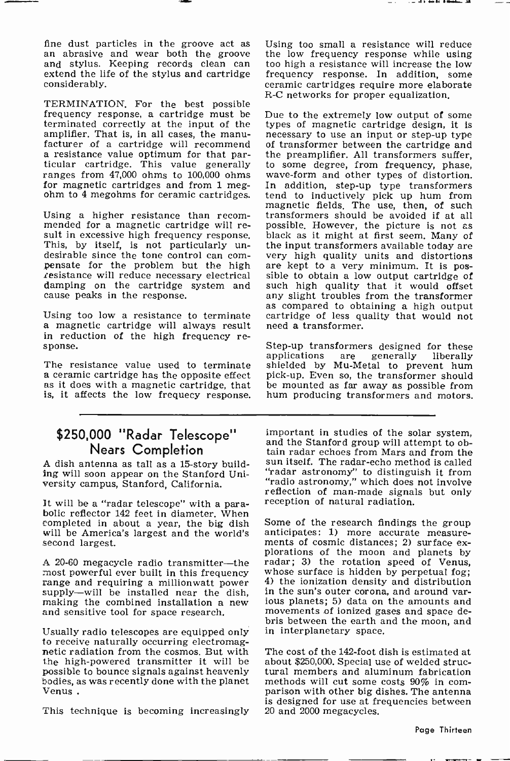fine dust particles in the groove act as an abrasive and wear both the groove and stylus. Keeping records clean can extend the life of the stylus and cartridge considerably.

TERMINATION. For the best possible<br>frequency response, a cartridge must be Due to the extremely low output of some terminated correctly at the input of the amplifier. That is, in all cases, the manu-<br>facturer of a cartridge will recommend facturer of a cartridge will recommend of transformer between the cartridge and<br>a resistance value optimum for that par-<br>ticular cartridge. This value generally to some degree, from frequency, phase,<br>ranges from 47,000 ohm ranges from 47,000 ohms to 100,000 ohms<br>for magnetic cartridges and from 1 megohm to 4 megohms for ceramic cartridges.

Using a higher resistance than recom-<br>transformers should be avoided if at all<br>mended for a magnetic cartridge will re-<br>possible. However, the picture is not as<br>sult in excessive high frequency response. black as it might damping on the cartridge system and cause peaks in the response.

a magnetic cartridge will always result in reduction of the high frequency re- sponse.

The resistance value used to terminate a ceramic cartridge has the opposite effect pick-up. Even as it does with a magnetic cartridge, that be mounted is, it affects the low frequecy response.

# Nears Completion

A dish antenna as tall as a 15 -story building will soon appear on the Stanford University campus, Stanford, California.

It will be a "radar telescope" with a para-<br>bolic reflector 142 feet in diameter. When<br>completed in about a year, the big dish Some of the research findings the group completed in about a year, the big dish will be America's largest and the world's anticipates: 1) more accurate measure-<br>second largest. ments of cosmic distances; 2) surface exsecond largest.

A 20-60 megacycle radio transmitter—the radar; 3) the rotation speed of Venus, most nowerful ever built in this frequency whose surface is hidden by perpetual fog; most powerful ever built in this frequency whose surface is hidden by perpetual fog;<br>range and requiring a millionwatt power  $\frac{4}{1}$  the ionization density and distribution supply--will be installed near the dish, making the combined installation a new and sensitive tool for space research.

Usually radio telescopes are equipped only<br>to receive naturally occurring electromagnetic radiation from the cosmos. But with the high-powered transmitter it will be possible to bounce signals against heavenly bodies, as was recently done with the planet<br>Venus .

This technique is becoming increasingly

Using too small a resistance will reduce the low frequency response while using too high a resistance will increase the low frequency response. In addition, some ceramic cartridges require more elaborate R -C networks for proper equalization.

as compared to obtaining a high output<br>Using too low a resistance to terminate cartridge of less quality that would not types of magnetic cartridge design, it is necessary to use an input or step-up type the preamplifier. All transformers suffer, to some degree, from frequency, phase, In addition, step-up type transformers tend to inductively pick up hum from magnetic fields. The use, then, of such transformers should be avoided if at all black as it might at first seem. Many of the input transformers available today are sible to obtain a low output cartridge of such high quality that it would offset any slight troubles from the transformer need a transformer.

> Step-up transformers designed for these<br>applications are generally liberally shielded by Mu-Metal to prevent hum pick-up. Even so, the transformer should be mounted as far away as possible from hum producing transformers and motors.

\$250,000 "Radar Telescope" important in studies of the solar system, and the Stanford group will attempt to ob-<br>tain radar echoes from Mars and from the sun itself. The radar-echo method is called "radar astronomy" to distinguish it from "radio astronomy," which does not involve reflection of man-made signals but only

> anticipates: 1) more accurate measureplorations of the moon and planets by radar; 3) the rotation speed of Venus, whose surface is hidden by perpetual fog; 4) the ionization density and distribution distribution distribution the sun's outer corona, and aroun ious planets; 5) data on the amounts and movements of ionized gases and space debris between the earth and the moon, and in interplanetary space.

> The cost of the 142-foot dish is estimated at about \$250,000. Special use of welded structural members and aluminum fabrication<br>methods will cut some costs 90% in comparison with other big dishes. The antenna is designed for use at frequencies between 20 and 2000 megacycles.

> > Page Thirteen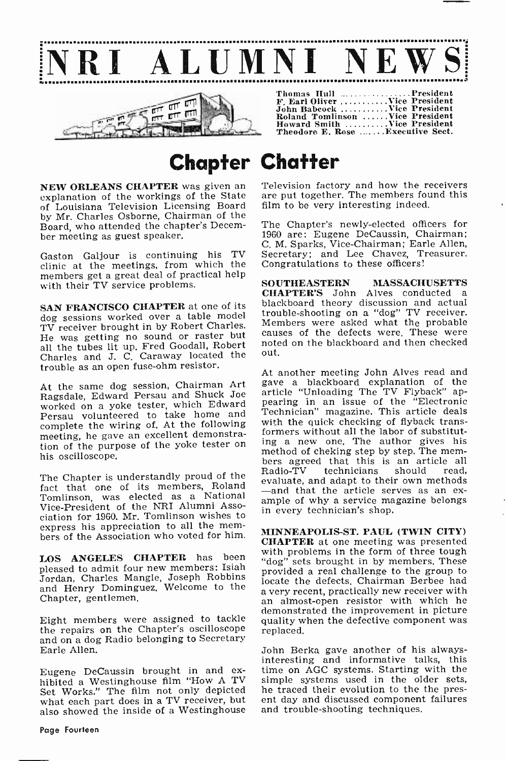

Theodore E. Rose .......Executive Sect.

### Chapter Chatter

NEW ORLEANS CHAPTER was given an explanation of the workings of the State of Louisiana Television Licensing Board by Mr. Charles Osborne, Chairman of the Board, who attended the chapter's December meeting as guest speaker.

Gaston Galjour is continuing his TV clinic at the meetings, from which the members get a great deal of practical help<br>with their TV service problems.<br>SOUTHEASTERN with their TV service problems.

SAN FRANCISCO CHAPTER at one of its dog sessions worked over a table model TV receiver brought in by Robert Charles. Members were asked what the probable<br>Ty receiver the same of the defects were. These were He was getting no sound or raster but causes of the defects were. These were all the tubes lit up. Fred Goodall, Robert Charles and J. C. Caraway located the trouble as an open fuse -ohm resistor.

At the same dog session, Chairman Art Ragsdale, Edward Persau and Shuck Joe worked on a yoke tester, which Edward Persau volunteered to take home and Te<br>complete the wiring of. At the following wil meeting, he gave an excellent demonstration of the purpose of the yoke tester on his oscilloscope.

fact that one of its members, Roland evaluate, and adapt to their own methods Tomlinson, was elected as a National Vice -President of the NRI Alumni Asso-ciation for 1960. Mr. Tomlinson wishes to express his appreciation to all the mem-<br>bers of the Association who voted for him. **CHAPTER** at one meeting was presented

LOS ANGELES CHAPTER has been pleased to admit four new members: Isiah Jordan, Charles Mangle, Joseph Robbins and Henry Dominguez. Welcome to the Chapter, gentlemen.

the repairs on the Chapter's oscilloscope and on a dog Radio belonging to Secretary Earle Allen.

Eugene DeCaussin brought in and ex- hibited a Westinghouse film "How A TV Set Works." The film not only depicted what each part does in a TV receiver, but also showed the inside of a Westinghouse 'Television factory and how the receivers are put together. The members found this film to be very interesting indeed.

The Chapter's newly -elected officers for 1960 are: Eugene DeCaussin, Chairman; C. M. Sparks, Vice -Chairman; Earle Allen, Secretary; and Lee Chavez, Treasurer. Congratulations to these officers!

SOUTHEASTERN MASSACHUSETTS<br>CHAPTER'S John Alves conducted a blackboard theory discussion and actual trouble -shooting on a "dog" TV receiver. Members were asked what the probable out.

The Chapter is understandly proud of the Radio-TV technicians should read,<br>evaluate, and adapt to their own methods At another meeting John Alves read and gave a blackboard explanation of the article "Unloading The TV Flyback" ap-<br>pearing in an issue of the "Electronic Technician" magazine. This article deals with the quick checking of flyback transformers without all the labor of substituting a new one. The author gives his method of cheking step by step. The mem- bers agreed that this is an article all technicians should read, ample of why a service magazine belongs in every technician's shop.

demonstrated the improvement in picture<br>Eight members were assigned to tackle quality when the defective component was<br>the repairs on the Chapter's oscilloscope replaced, MINNEAPOLIS -ST. PAUL (TWIN CITY) with problems in the form of three tough "dog" sets brought in by members. These provided a real challenge to the group to locate the defects. Chairman Berbee had a very recent, practically new receiver with an almost -open resistor with which he quality when the defective component was

> John Berka gave another of his always-<br>interesting and informative talks, this time on AGC systems. Starting with the simple systems used in the older sets, he traced their evolution to the the present day and discussed component failures and trouble-shooting techniques.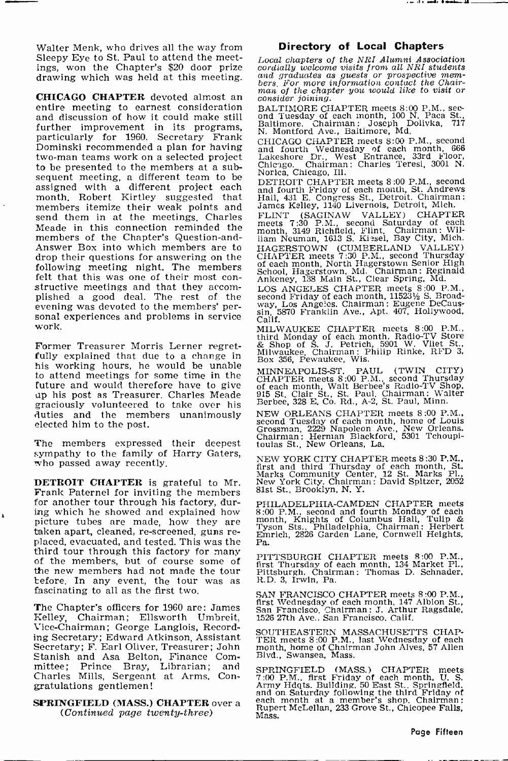Walter Menk, who drives all the way from Sleepy Eye to St. Paul to attend the meetings, won the Chapter's \$20 door prize condigity welcome visits from all NRI students<br>drawing which was held at this meeting, and graduates as guests or prospective memdrawing which was held at this meeting.

**CHICAGO CHAPTER** devoted almost an entire manipulation of the chapter you would like to visit or entire meeting to earnest consideration  $_{\text{BALTING CE}}$  meets 8:00 P.M., secand discussion of how it could make still further improvement in its programs, particularly for 1960. Secretary Frank Dominski recommended a plan for having two -man teams work on a selected project to be presented to the members at a subsequent meeting, a different team to be assigned with a different project each month. Robert Kirtley suggested that members itemize their weak points and send them in at the meetings. Charles Meade in this connection reminded the members of the Chapter's Question-and-<br>Answer Box into which members are to drop their questions for answering on the following meeting night. The members felt that this was one of their most con-<br>structive meetings and that they accom-<br>plished a good deal. The rest of the evening was devoted to the members' per-<br>sonal experiences and problems in service  $\begin{array}{c} \text{can,} \\ \text{Callif.} \end{array}$ work.

Former Treasurer Morris Lerner regret- fully explained that due to a change in his working hours, he would be unable to attend meetings for some time in the future and would therefore have to give up his post as Treasurer. Charles Meade graciously volunteered to take over his duties and the members unanimously elected him to the post.

The members expressed their deepest sympathy to the family of Harry Gaters, who passed away recently.

DETROIT CHAPTER is grateful to Mr. Frank Paternel for inviting the members for another tour through his factory, during which he showed and explained how picture tubes are made, how they are<br>taken apart, cleaned, re-screened, guns replaced, evacuated, and tested. This was the  $-$  Pa. third tour through this factory for many of the members, but of course some of the new members had not made the tour before. In any event, the tour was as fascinating to all as the first two.

The Chapter's officers for 1960 are: James Kelley, Chairman; Ellsworth Umbreit, Vice -Chairman; George Langlois, Recording Secretary; Edward Atkinson, Assistant Secretary; F. Earl Oliver, Treasurer; John Stanish and Asa Belton, Finance Com-Prince Bray, Librarian; and Charles Mills, Sergeant at Arms. Congratulations gentlemen!

### SPRINGFIELD (MASS.) CHAPTER over a (Continued page twenty-three)

### Directory of Local Chapters

... ...

Local chapters of the NRI Alumni Association cordially welcome visits from all NRI students bers, For more information contact the Chair-

BALTIMORE CHAPTER meets 8:00 P.M., sec-<br>ond Tuesday of each month, 100 N. Paca St.,<br>Baltimore. Chairman: Joseph Dolivka, 717 N. Montford Ave., Baltimore, Md.

CHICAGO CHAPTER meets 8:00 P.M., second and fourth Wednesday of each month, 666 Lakeshore Dr., West Entrance, 33rd Floor, Chicago. Chairman: Charles Teresi, 3001 N. Chicago. Chairman<br>Norica, Chicago, Ill.

DETROIT CHAPTER meets 8:00 P.M., second and fourth Friday of each month, St. Andrews Hall, 431 E. Congress St., Detroit. Chairman: James Kelley, 1140 Livernois, Detroit, Mich.

FLINT (SAGINAW VALLEY) CHAPTER meets 7:30 P.M., second Saturday of each month, 3149 Richfield, Flint. Chairman: Wil-liam Neuman, 1613 S. Kissel, Bay City, Mich. HAGERSTOWN (CUMBERLAND VALLEY)<br>CHAPTER meets 7:30 P.M., second Thursday<br>of each month, North Hagerstown Senior High<br>School, Hagerstown, Md. Chairman: Reginald<br>Ankeney, 138 Main St., Clear Spring, Md.

LOS ANGELES CHAPTER meets 8:00 P.M., second Friday of each month, 115231/2 S. Broad-way, Los Angeles. Chairman : Eugene DeCaus-sin, 5870 Franklin Ave., Apt. 407, Hollywood, Calif.

MILWAUKEE CHAPTER meets 8:00 P.M.,<br>third Monday of each month. Radio-TV Store<br>& Shop of S. J. Petrich, 5901 W. Vliet St.,<br>Milwaukee. Chairman: Philip Rinke, RFD 3, Box 356, Pewaukee, Wis.

MINNEAPOLIS-ST. PAUL (TWIN CITY)<br>CHAPTER meets 8:00 P.M., second Thursday<br>of each month, Walt Berbee's Radio-TV Shop,<br>915 St. Clair St., St. Paul. Chairman: Walter<br>Berbee, 328 E. Co. Rd., A-2, St. Paul, Minn.

NEW ORLEANS CHAPTER meets 8:00 P.M., second Tuesday of each month, home of Louis Grossman, 2229 Napoleon Ave., New Orleans. Chairman: Herman Blackford, 5301 Tchoupl- toulas St., New Orleans, La.

NEW YORK CITY CHAPTER meets 8:30 P.M., first and third Thursday of each month, St. Marks Community Center, 12 St. Marks Pl., New York City. Chairman: David Spitzer, <sup>2052</sup> 81st St., Brooklyn, N. Y.

PHILADELPHIA-CAMDEN CHAPTER meets 8:00 P.M., second and fourth Monday of each month, Knights of Columbus Hall, Tulip & Tyson Sts., Philadelphia, Chairman: Herbert Emrich, 2826 Garden Lane, Cornwell Heights, Pa.

PITTSBURGH CHAPTER meets 8:00 P.M., first Thursday of each month, 134 Market PI., Pittsburgh. Chairman: Thomas D. Schnader, R. D. 3, Irwin, Pa.

SAN FRANCISCO CHAPTER meets 8:00 P.M.,<br>first Wednesday of each month, 147 Albion St.,<br>San Francisco. Chairman: J. Arthur Ragsdale,<br>1526 27th Ave., San Francisco. Calif.

SOUTHEASTERN MASSACHUSETTS CHAP-TER meets 8:00 P.M., last Wednesday of each month, home of Chairman John Alves, 57 Allen Blvd., Swansea, Mass.

SPRINGFIELD (MASS.) CHAPTER meets<br>7:00 P.M., first Friday of each month, U. S.<br>Army Hdgts. Building, 50 East St., Springfield,<br>and on Saturday following the third Friday of<br>each month at a member's shop. Chairman:<br>Rupert M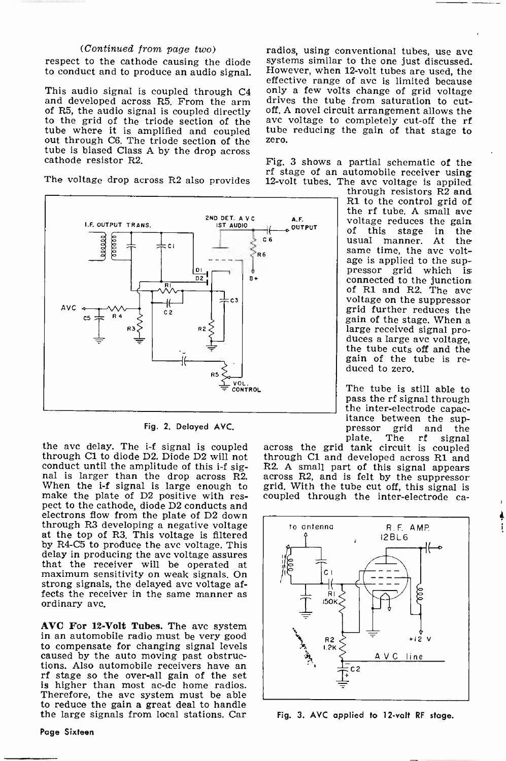#### (Continued from page two)

to conduct and to produce an audio signal.

and developed across  $R5$ . From the arm drives the tube from saturation to cut-<br>of  $R5$ , the audio signal is coupled directly off. A novel circuit arrangement allows the to the grid of the triode section of the ave-<br>tube where it is amplified and coupled tube<br>out through C6. The triode section of the zero. tube is biased Class A by the drop across cathode resistor R2.



Fig. 2. Delayed AVC.

conduct until the amplitude of this i-f sig-<br>nal is larger than the drop across R2. When the i-f signal is large enough to gr When the i-f signal is large enough to grid. With the tube cut off, this signal is make the plate of D2 positive with res- coupled through the inter-electrode capect to the cathode, diode D2 conducts and electrons flow from the plate of D2 down<br>through R3 developing a negative voltage at the top of R3. This voltage is filtered by R4-05 to produce the avc voltage. This delay in producing the ave voltage assures that the receiver will be operated at maximum sensitivity on weak signals. On strong signals, the delayed ave voltage affects the receiver in the same manner as ordinary ave.

AVC For 12 -Volt Tubes. The avc system in an automobile radio must be very good to compensate for changing signal levels caused by the auto moving past obstruc-<br>tions. Also automobile receivers have an rf stage so the over-all gain of the set is higher than most ac-dc home radios. Therefore, the ave system must be able to reduce the gain a great deal to handle the large signals from local stations. Car

Page Sixteen

respect to the cathode causing the diode systems similar to the one just discussed. This audio signal is coupled through  $C4$  only a few volts change of grid voltage radios, using conventional tubes, use ave However, when 12 -volt tubes are used, the effective range of ave is limited because drives the tube from saturation to cutavc voltage to completely cut-off the rf tube reducing the gain of that stage to zero. Fig. 3 shows a partial schematic of the

rf stage of an automobile receiver using<br>The voltage drop across R2 also provides 12-volt tubes. The ave voltage is appiled 12-volt tubes. The avc voltage is applied through resistors  $R2$  and

R1 to the control grid of<br>the rf tube. A small ave voltage reduces the gain<br>of this stage in the<br>usual manner. At the same time, the avc voltage is applied to the suppressor grid which is<br>connected to the junction of R1 and R2. The avc voltage on the suppressor grid further reduces the large received signal pro-<br>duces a large ave voltage,<br>the tube cuts off and the gain of the tube is re- duced to zero.

The tube is still able to pass the rf signal through<br>the inter-electrode capac-<br>itance between the sup-<br>pressor grid and the pressor grid and the<br>plate. The rf signal

the ave delay. The i-f signal is coupled across the grid tank circuit is coupled through C1 to diode D2. Diode D2 will not through C1 and developed across R1 and conduct until the amplitude of this i-f sig-R2. A small part across the grid tank circuit is coupled through C1 and developed across R1 and across R2, and is felt by the suppressor coupled through the inter-electrode ca-



Fig. 3. AVC applied to 12 -volt RF stage.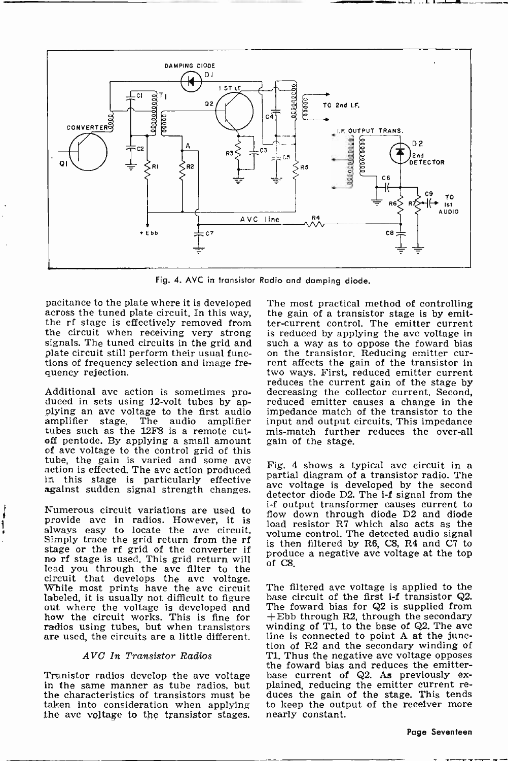

Fig. 4. AVC in transistor Radio and damping diode.

pacitance to the plate where it is developed The most practical method of controlling across the tuned plate circuit. In this way, the gain of a transistor stage is by emitthe rf stage is effectively removed from the circuit when receiving very strong is reduced by applying the ave voltage in signals. The tuned circuits in the grid and such a way as to oppose the foward bias plate circuit still perform their usual func- on the tran plate circuit still perform their usual functions of frequency selection and image frequency rejection.

tubes such as the 12F8 is a remote cutoff pentode. By applying a small amount of avc voltage to the control grid of this<br>tube, the gain is varied and some avc action is effected. The avc action produced  $\frac{F(g)}{g}$  is the stage is particularly effective in this stage is particularly effective avc voltage is developed by the second random The against sudden signal strength changes.

Numerous circuit variations are used to provide avc in radios. However, it is always easy to locate the ave circuit. Simply trace the grid return from the rf stage or the rf grid of the converter if no rf stage is used. This grid return will lead you through the avc filter to the circuit that develops the avc voltage.<br>While most prints have the avc circuit The While most prints have the ave circuit The filtered ave voltage is applied to the labeled, it is usually not difficult to figure base circuit of the first i-f transistor  $Q2$ .<br>out where the voltage is developed and The fo how the circuit works. This is fine for  $+$ Ebb through R2, through the secondary radios using tubes, but when transistors winding of T1, to the base of Q2. The ave radios using tubes, but when transistors — winding of T1, to the base of Q2. The avc<br>are used, the circuits are a little different. — line is connected to point A at the juncare used, the circuits are a little different.

ì

#### AVC In Transistor Radios

the characteristics of transistors must be taken into consideration when applying the ave voltage to the transistor stages. nearly constant.

Additional avc action is sometimes pro-<br>duced in sets using 12-volt tubes by ap-<br>plying an avc voltage to the first audio impedance match of the family<br>applifier stage. The audio amplifier input and output circuits. This i The most practical method of controlling ter -current control. The emitter current is reduced by applying the ave voltage in such a way as to oppose the foward bias on the transistor. Reducing emitter cur-<br>rent affects the gain of the transistor in two ways. First, reduced emitter current decreasing the collector current. Second, impedance match of the transistor to the input and output circuits. This impedance mis -match further reduces the over-all gain of the stage.

> Fig. 4 shows a typical ave circuit in a detector diode D2. The *i-f* signal from the <sup>i</sup>-f output transformer causes current to flow down through diode D2 and diode load resistor R7 which also acts as the volume control. The detected audio signal is then filtered by R6, C8, R4 and C7 to produce a negative ave voltage at the top of C8.

the foward bias and reduces the emitter-<br>Tranistor radios develop the ave voltage in the same manner as tube radios, but plained, reducing the emitter current re-The filtered ave voltage is applied to the base circuit of the first  $i$ -f transistor Q2. The foward bias for Q2 is supplied from tion of R2 and the secondary winding of T1. Thus the negative avc voltage opposes T1. Thus the negative ave voltage opposes the foward bias and reduces the emitter-<br>base current of  $Q2$ . As previously ex-<br>plained, reducing the emitter current re-<br>duces the gain of the stage. This tends to keep the output of the receiver more nearly constant.

Page Seventeen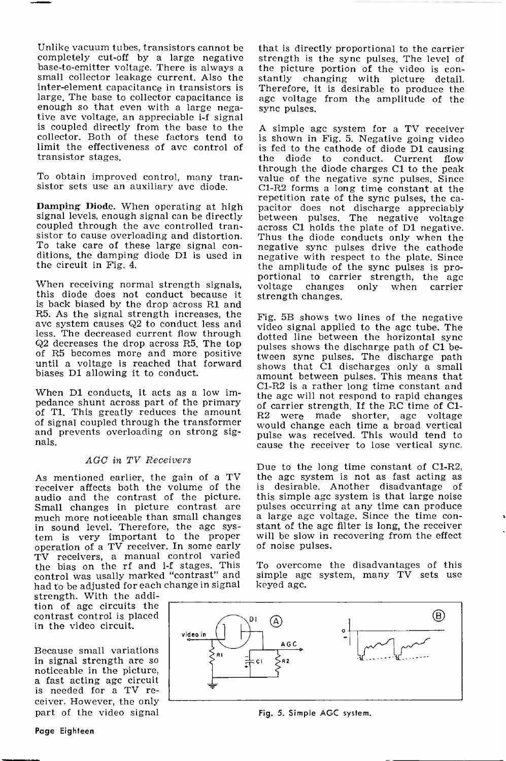Unlike vacuum tubes, transistors cannot be completely cut-off by a large negative strength is the sync pulses. The level of base-to-emitter voltage. There is always a small collector leakage current. Also the stantly changing with picture detail inter -element capacitance in transistors is large. The base to collector capacitance is<br>enough so that even with a large negative avc voltage, an appreciable i-f signal is coupled directly from the base to the collector. Both of these factors tend to limit the effectiveness of avc control of is  $f(x)$  the transistor stages. transistor stages.

To obtain improved control, many transistor sets use an auxiliary avc diode.

Damping Diode. When operating at high signal levels, enough signal can be directly coupled through the ave controlled trancoupled through the ave controlled tran-<br>sistor to cause overloading and distortion. Thus the diode conducts only when the To take care of these large signal con- ditions, the damping diode D1 is used in the circuit in Fig. 4.

is back biased by the drop across R1 and R5. As the signal strength increases, the average shows two lines of the negative ave system causes Q2 to conduct less and video signal applied to the agc tube. The less, The decreased current flow through dotted line betw less. The decreased current flow through dotted line between the horizontal sync<br>Q2 decreases the drop across R5. The top sulses shows the discharge path of C1 beof R5 becomes more and more positive tween sync pulses. The discharge path<br>until a voltage is reached that forward shows that C1 discharges only a small biases Di allowing it to conduct.

When D1 conducts, it acts as a low im-When D1 conducts, it acts as a low im-<br>pedance shunt across part of the primary of carrier strength. If the RC time of C1-<br>of T1. This greatly reduces the amount R2 were made shorter, age voltage of signal coupled through the transformer and prevents overloading on strong signals.

#### AGC in TV Receivers

As mentioned earlier, the gain of a TV the age system is not as fast acting receiver affects both the volume of the is desirable. Another disadvantage receiver affects both the volume of the audio and the contrast of the picture. thi Small changes in picture contrast are pu Small changes in picture contrast are pulses occurring at any time can produce much more noticeable than small changes a large agc voltage. Since the time conin sound level. Therefore, the age system is very important to the proper operation of a TV receiver. In some early TV receivers, a manual control varied the bias on the rf and i-f stages. This control was usally marked "contrast" and simple age.<br>had to be adjusted for each change in signal keyed age. had to be adjusted for each change in signal

strength. With the addition of age circuits the contrast control is placed in the video circuit.

Because small variations<br>in signal strength are so noticeable in the picture,<br>a fast acting agc circuit is needed for a TV re-<br>ceiver. However, the only part of the video signal

that is directly proportional to the carrier strength is the sync pulses. The level of stantly changing with picture detail. Therefore, it is desirable to produce the age voltage from the amplitude of the sync pulses.

portional to carrier strength, the agc<br>When receiving normal strength signals, voltage changes only when carrier<br>this diode does not conduct because it strength changes. A simple agc system for a TV receiver is shown in Fig. 5. Negative going video is fed to the cathode of diode D1 causing the diode to conduct. Current flow through the diode charges Cl to the peak value of the negative sync pulses. Since C1-R2 forms a long time constant at the repetition rate of the sync pulses, the capacitor does not discharge appreciably between pulses. The negative voltage negative sync pulses drive the cathode negative with respect to the plate. Since the amplitude of the sync pulses is pro-<br>portional to carrier strength, the age<br>voltage changes only when carrier strength changes.

> Fig. 5B shows two lines of the negative pulses shows the discharge path of C1 between sync pulses. The discharge path amount between pulses. This means that C1 -R2 is a rather long time constant and would change each time a broad vertical pulse was received. This would tend to cause the receiver to lose vertical sync.

> Due to the long time constant of C1-R2, the age system is not as fast acting as is desirable. Another disadvantage of this simple age system is that large noise stant of the age filter is long, the receiver will be slow in recovering from the effect of noise pulses.

> To overcome the disadvantages of this simple age system, many TV sets use



Fig. 5. Simple AGC system.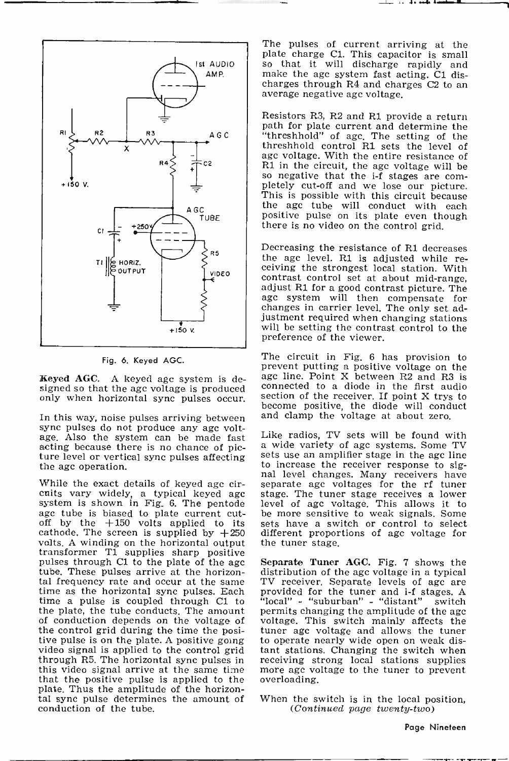

Fig. 6. Keyed AGC.

**Keyed AGC.** A keyed agc system is designed so that the agc voltage is produced only when horizontal sync pulses occur.

In this way, noise pulses arriving between sync pulses do not produce any agc voltage. Also the system can be made fast Like radios, TV sets will be found with acting because there is no chance of pic-<br>ture level or vertical sync pulses affecting<br>the agc operation.

While the exact details of keyed age cir-<br>cuits vary widely, a typical keyed age system is shown in Fig. 6. The pentode age tube is biased to plate current cut-off by the +150 volts applied to its cathode. The screen is supplied by  $+250$ volts. A winding on the horizontal output transformer T1 supplies sharp positive pulses through Cl to the plate of the age tube. These pulses arrive at the horizontal frequency rate and occur at the same TV receiver. Separate levels of age are time as the horizontal sync pulses. Each provided for the tuner and i-f stages. A time a pulse is coupled through C1 to "local" - "suburban" - "distant" switch the plate, the tube conducts. The amount permits changing the amplitude of the agc the plate, the tube conducts. The amount of conduction depends on the voltage of the control grid during the time the posi-<br>tive pulse is on the plate. A positive going to operate nearly wideo signal is applied to the control grid through R5. The horizontal sync pulses in receiving strong local station this video signal arrive at the same time more age vo<br>that the positive pulse is applied to the overloading. that the positive pulse is applied to the plate. Thus the amplitude of the horizontal sync pulse determines the amount of conduction of the tube.

The pulses of current arriving at the plate charge C1. This capacitor is small so that it will discharge rapidly and make the age system fast acting. C1 discharges through R4 and charges C2 to an average negative age voltage.

Resistors R3, R2 and Rl provide a return path for plate current and determine the "threshhold" of age. The setting of the threshhold control R1 sets the level of age voltage. With the entire resistance of R1 in the circuit, the age voltage will be so negative that the i-f stages are com-<br>pletely cut-off and we lose our picture.<br>This is possible with this circuit because the age tube will conduct with each positive pulse on its plate even though there is no video on the control grid.

Decreasing the resistance of R1 decreases the agc level. R1 is adjusted while receiving the strongest local station. With contrast control set at about mid-range. adjust R1 for a good contrast picture. The agc system will then compensate for changes in carrier level. The only set adjustment required when changing stations will be setting the contrast control to the preference of the viewer.

The circuit in Fig. 6 has provision to prevent putting a positive voltage on the age line. Point X between R2 and R3 is connected to a diode in the first audio section of the receiver. If point X trys to become positive, the diode will conduct and clamp the voltage at about zero.

a wide variety of age systems. Some TV sets use an amplifier stage in the age line to increase the receiver response to sig- nal level changes. Many receivers have separate age voltages for the rf tuner stage. The tuner stage receives a lower level of age voltage. This allows it to be more sensitive to weak signals. Some sets have a switch or control to select different proportions of age voltage for the tuner stage.

Separate Tuner AGC. Fig. 7 shows the distribution of the agc voltage in a typical provided for the tuner and i-f stages. A "local" - "suburban" - "distant" switch "local" - "suburban" - "distant" voltage. This switch mainly affects the tuner age voltage and allows the tuner to operate nearly wide open on weak distant stations. Changing the switch when receiving strong local stations supplies more age voltage to the tuner to prevent overloading.

When the switch is in the local position,<br>(Continued page twenty-two)

Page Nineteen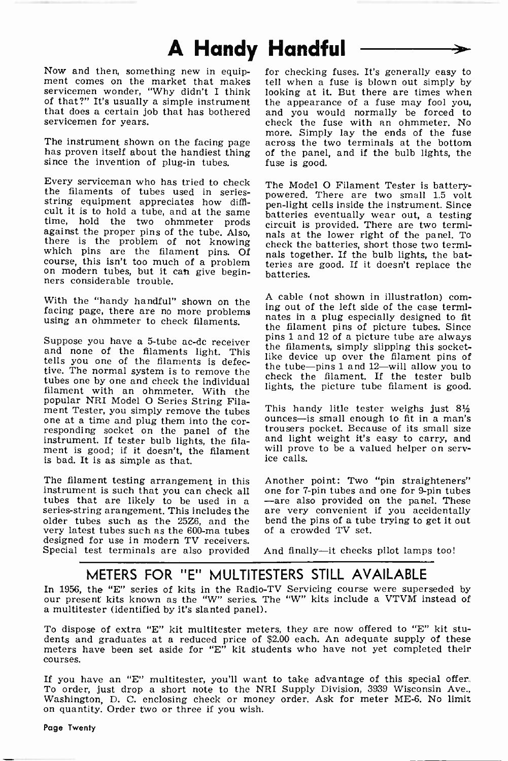## A Handy Handful

Now and then, something new in equip-<br>ment comes on the market that makes tell when a fuse is blown out simply by servicemen wonder, "Why didn't I think of that?" It's usually a simple instrument servicemen for years.

The instrument shown on the facing page has proven itself about the handiest thing since the invention of plug-in tubes.

Every serviceman who has tried to check The Model O Filament Tester is batterythe filaments of tubes used in series-<br>string equipment appreciates how diffi-<br>cult it is to hold a tube, and at the same cult it is to hold a tube, and at the same batteries eventually wear out, a testing against the proper pins of the tube. Also, that is provided. There are two termi-<br>there is the problem of not knowing which pins are the on modern tubes, but it can give beginners considerable trouble.

using an ohmmeter to check filaments.

and none of the filaments light. This the maments, simply supping this socket-<br>tells you and of the filaments is defected like device up over the filament pins of tells you one of the filaments is defec-<br>tive. The normal system is to remove the tubes one by one and check the individual filament with an ohmmeter. With the popular NRI Model O Series String Filaone at a time and plug them into the cor-<br>responding socket on the panel of the instrument. If tester bulb lights, the filament is good; if it doesn't, the filament will prov<br>is had It is as simple as that the second ice calls. is bad. It is as simple as that.

The filament testing arrangement in this Another point: Two "pin straighteners" instrument is such that you can check all series-string arangement. This includes the are very convenient if you accidentally older tubes such as the 25Z6, and the very latest tubes such as the 600 -ma tubes designed for use in modern TV receivers. Special test terminals are also provided

that does a certain job that has bothered and you would normally be forced to check the fuse with an ohmmeter. No for checking fuses. It's generally easy to looking at it. But there are times when the appearance of a fuse may fool you, and you would normally be forced to more. Simply lay the ends of the fuse across the two terminals at the bottom of the panel, and if the bulb lights, the fuse is good.

> powered. There are two small 1.5 volt pen -light cells inside the instrument. Since circuit is provided. There are two terminals at the lower right of the panel. To check the batteries, short those two terminals together. If the bulb lights, the batteries are good. If it doesn't replace the batteries.

With the "handy handful" shown on the <sup>A caple</sup> (not shown in illustration) com-<br>facing page, there are no more problems ing out of the left side of the case termi-Suppose you have a 5-tube ac-dc receiver  $\frac{\text{pins 1 and 12 of a picture tube are always}}{\text{the element cylinder~the surface}}$ A cable (not shown in illustration) comnates in a plug especially designed to fit the filament pins of picture tubes. Since the filaments, simply slipping this socketthe tube-pins 1 and 12-will allow you to check the filament. If the tester bulb lights, the picture tube filament is good.

> This handy litle tester weighs just 8% ounces-is small enough to fit in a man's trousers pocket. Because of its small size and light weight it's easy to carry, and will prove to be a valued helper on serv-

> one for 7-pin tubes and one for 9-pin tubes -are also provided on the panel. These bend the pins of a tube trying to get it out of a crowded TV set.

And finally-it checks pilot lamps too!

### METERS FOR "E" MULTITESTERS STILL AVAILABLE

In 1956, the "E" series of kits in the Radio-TV Servicing course were superseded by our present kits known as the "W" series. The "W" kits include a VTVM instead of a multitester (identified by it's slanted panel).

To dispose of extra "E" kit multitester meters, they are now offered to "E" kit students and graduates at a reduced price of \$2.00 each. An adequate supply of these meters have been set aside for "E" kit students who have not yet completed their courses.<br>If you have an "E" multitester, you'll want to take advantage of this special offer.

If you have an "E" multitester, you'll want to take advantage of this special offer.<br>To order, just drop a short note to the NRI Supply Division, 3939 Wisconsin Ave., Washington, D. C. enclosing check or money order. Ask for meter ME-6. No limit on quantity. Order two or three if you wish.

Page Twenty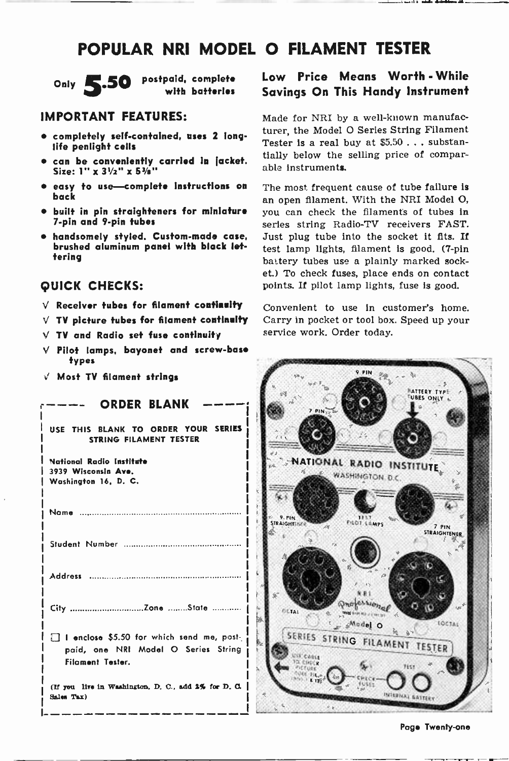### POPULAR NRI MODEL O FILAMENT TESTER



Only 5.50 postpaid, complete with batteries

### IMPORTANT FEATURES:

- completely self-contained, uses 2 long-<br>life penlight cells
- $\bullet$  can be conveniently carried in jacket. Size:  $1'' \times 3^{1}/2'' \times 5^{3}/8''$
- easy to use-complete instructions on back
- built in pin straighteners for miniature <sup>7</sup>-pin and 9 -pin tubes
- handsomely styled. Custom-made case, brushed aluminum panel with black lettering

### QUICK CHECKS:

- $V$  Receiver tubes for filament continuity
- $V$  TV picture tubes for filament continuity
- $V$  TV and Radio set fuse continuity
- $V$  Pilot lamps, bayonet and screw-base types
- $\sqrt{M}$  Most TV filament strings

| ORDER BLANK                                                                                          | 清<br>7.91N                   |
|------------------------------------------------------------------------------------------------------|------------------------------|
| USE THIS BLANK TO ORDER YOUR SERIES<br>STRING FILAMENT TESTER                                        |                              |
| National Radio Institute<br>3939 Wisconsin Ave.<br>Washington 16, D. C.                              | NATION                       |
|                                                                                                      | 9.91M<br><b>TRAIGHT INTO</b> |
|                                                                                                      |                              |
|                                                                                                      |                              |
| City Zone State                                                                                      | <b>DETAI</b>                 |
| I enclose \$5.50 for which send me, post-<br>paid, one NRI Model O Series String<br>Filament Tester. | SERIES ST<br>Canis           |
| (If you live in Washington, D. C., add 2% for D. C.<br>Sales Tax)                                    |                              |

### Low Price Means Worth - While Savings On This Handy Instrument

Made for NRI by a well-known manufacturer, the Model O Series String Filament Tester is a real buy at \$5.50 ... substantially below the selling price of comparable instruments.

The most frequent cause of tube failure is an open filament. With the NRI Model O, you can check the filaments of tubes in series string Radio-TV receivers FAST. Just plug tube into the socket it fits. If test lamp lights, filament is good. (7-pin battery tubes use a plainly marked socket.) To check fuses, place ends on contact points. If pilot lamp lights, fuse is good.

Convenient to use in customer's home. Carry in pocket or tool box. Speed up your service work. Order today.

**Q PIN** BATTERY TYPE<br>UBES ONLY NATIONAL RADIO INSTITUTE WASHINGTON D.C. FILOT LEMPS **AIGHTTHE**  $7.91N$ **STRAIGHTENER** Professioned Model O LOCTAL SERIES STRING FILAMENT TESTER  $CFT - F$ r USC INTERNAC BAT

Page Twenty-one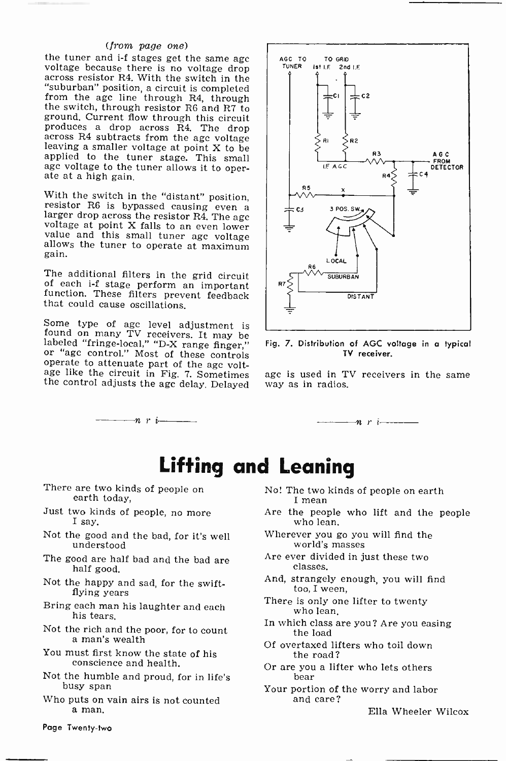(*from page one*)<br>the tuner and i-f stages get the same agc voltage because there is no voltage drop across resistor R4. With the switch in the<br>"suburban" position, a circuit is completed from the age line through R4, through<br>the switch, through resistor R6 and R7 to<br>ground, Current flow through this circuit<br>produces a drop across R4. The drop<br>across R4 subtracts from the age voltage<br>leaving a smaller volta age voltage to the tuner allows it to oper- ate at a high gain.

With the switch in the "distant" position,<br>resistor R6 is bypassed causing even a<br>larger drop across the resistor R4. The age<br>voltage at point X falls to an even lower<br>value and this small tuner age voltage<br>allows the tune

The additional filters in the grid circuit of each i-f stage perform an important function. These filters prevent feedback that could cause oscillations.

Some type of age level adjustment is found on many TV receivers. It may be labeled "fringe-local," "D-X range finger," or "age control." Most of these controls operate to attenuate part of the age volt-<br>operate to attenuat the control adjusts the agc delay. Delayed

 $-n \, r \, i$ 





age is used in TV receivers in the same way as in radios.



### Lifting and Leaning

- There are two kinds of people on earth today,
- Just two kinds of people, no more I say.
- Not the good and the bad, for it's well understood
- The good are half bad and the bad are half good.
- Not the happy and sad, for the swift-<br>flying years
- Bring each man his laughter and each his tears.
- Not the rich and the poor, for to count a man's wealth
- You must first know the state of his conscience and health.
- Not the humble and proud, for in life's busy span
- Who puts on vain airs is not counted a man.
- No! The two kinds of people on earth
- Are the people who lift and the people who lean.
- Wherever you go you will find the world's masses
- Are ever divided in just these two classes.
- And, strangely enough, you will find too, I ween,
- There is only one lifter to twenty who lean.
- In which class are you? Are you easing the load
- Of overtaxed lifters who toil down the road?
- Or are you a lifter who lets others bear
- Your portion of the worry and labor and care?

Ella Wheeler Wilcox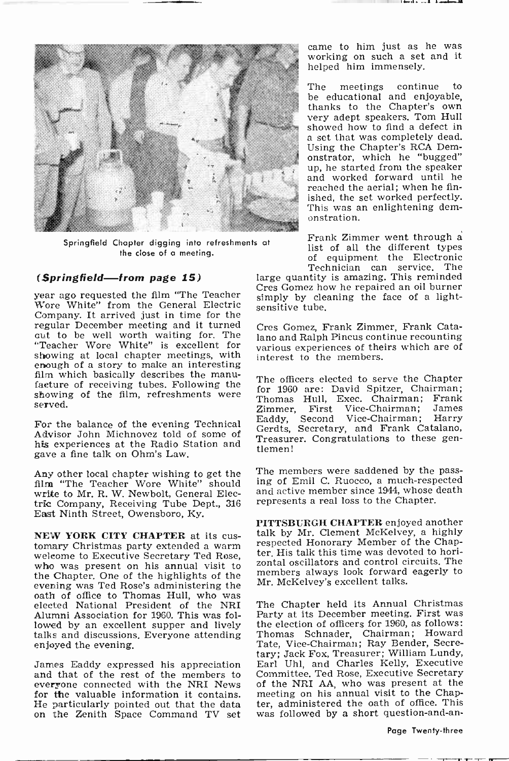

Springfield Chapter digging into refreshments at the close of a meeting.

### (Springfield-from page 15)

year ago requested the film "The Teacher Wore White" from the General Electric Company. It arrived just in time for the regular December meeting and it turned out to be well worth waiting for. The lar "Teacher Wore White" is excellent for  $\frac{1}{\sqrt{a}}$ showing at local chapter meetings, with enough of a story to make an interesting<br>film which basically describes the manufacture of receiving tubes. Following the showing of the film, refreshments were served.

For the balance of the evening Technical  $\begin{bmatrix} \text{Eaddy} \\ \text{C} \end{bmatrix}$ Advisor John Michnovez told of some of his experiences at the Radio Station and gave a fine talk on Ohm's Law.

Any other local chapter wishing to get the film "The Teacher Wore White" should write to Mr. R. W. Newbolt, General Electric Company, Receiving Tube Dept., 316 East Ninth Street, Owensboro, Ky.

NEW YORK CITY CHAPTER at its cus-<br>tomary Christmas party extended a warm welcome to Executive Secretary Ted Rose, who was present on his annual visit to the Chapter. One of the highlights of the evening was Ted Rose's administering the elected National President of the NRI Alumni Association for 1960. This was foltalks and discussions. Everyone attending<br>enjoyed the evening.

James Eaddy expressed his appreciation and that of the rest of the members to everyone connected with the NRI News for the valuable information it contains.<br>He particularly pointed out that the data on the Zenith Space Command TV set was followed by a short question-and-an-

came to him just as he was working on such a set and it helped him immensely.

The meetings continue to be educational and enjoyable,<br>thanks to the Chapter's own very adept speakers. Tom Hull<br>showed how to find a defect in a set that was completely dead. Using the Chapter's RCA Demonstrator, which he "bugged" up, he started from the speaker and worked forward until he reached the aerial; when he finished, the set worked perfectly. This was an enlightening demonstration.

Frank Zimmer went through a list of all the different types of equipment the Electronic Technician can service. The

large quantity is amazing. This reminded Cres Gomez how he repaired an oil burner simply by cleaning the face of a lightsensitive tube.

Cres Gomez, Frank Zimmer, Frank Catalano and Ralph Pincus continue recounting various experiences of theirs which are of interest to the members.

The officers elected to serve the Chapter for 1960 are: David Spitzer, Chairman; Thomas Hull, Exec. Chairman; Frank First Vice-Chairman; James<br>Second Vice-Chairman; Harry Vice-Chairman; Gerdts, Secretary, and Frank Catalano, Treasurer. Congratulations to these gentlemen!

The members were saddened by the passing of Emil C. Ruocco, a much -respected and active member since 1944, whose death represents a real loss to the Chapter.

PITTSBURGH CHAPTER enjoyed another talk by Mr. Clement McKelvey, a highly respected Honorary Member of the Chapter. His talk this time was devoted to horizontal oscillators and control circuits. The members always look forward eagerly to Mr. McKelvey's excellent talks.

The Chapter held its Annual Christmas Party at its December meeting. First was the election of officers for 1960, as follows: Thomas Schnader, Chairman; Howard Tate, Vice -Chairman; Ray Bender, Secre-tary; Jack Fox, Treasurer; William Lundy, Earl Uhl, and Charles Kelly, Executive Committee. Ted Rose, Executive Secretary of the NRI AA, who was present at the meeting on his annual visit to the Chapter, administered the oath of office. This

Page Twenty-three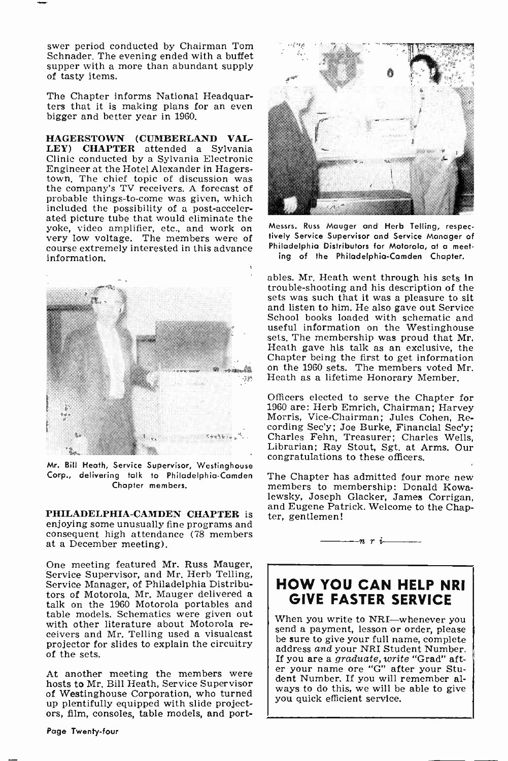swer period conducted by Chairman Tom Schnader. The evening ended with a buffet supper with a more than abundant supply of tasty items.

The Chapter informs National Headquarters that it is making plans for an even bigger and better year in 1960.

HAGERSTOWN (CUMBERLAND VAL-LEY) CHAPTER attended a Sylvania Clinic conducted by a Sylvania Electronic Engineer at the Hotel Alexander in Hagersthe company's TV receivers. A forecast of probable things-to-come was given, which included the possibility of a post-accelerated picture tube that would eliminate the<br>yoke, video amplifier, etc., and work on very low voltage. The members were of course extremely interested in this advance information.



Mr. Bill Heath, Service Supervisor, Westinghouse Corp., delivering talk to Philadelphia-Camden The Chapter has admitted four more new Chapter members.

PHILADELPHIA-CAMDEN CHAPTER is ter, gentlemen! enjoying some unusually fine programs and consequent high attendance (78 members at a December meeting).

One meeting featured Mr. Russ Mauger, Service Supervisor, and Mr. Herb Telling, Service Manager, of Philadelphia Distributors of Motorola. Mr. Mauger delivered a talk on the 1960 Motorola portables and table models. Schematics were given out<br>with other literature about Motorola receivers and Mr. Telling used a visualcast  $\begin{bmatrix} \text{senu} \text{ a payment, lesson or order, please} \\ \text{be sure to give your full name, complete} \end{bmatrix}$ projector for slides to explain the circuitry  $\begin{array}{c|c} \text{be sure to give your null name, complete} \\ \text{address and your NRI Student Number.} \end{array}$ of the sets.

At another meeting the members were hosts to Mr. Bill Heath, Service Supervisor of Westinghouse Corporation, who turned up plentifully equipped with slide projectors, film, consoles, table models, and port-



Messrs. Russ Mauger and Herb Telling, respectively Service Supervisor and Service Manager of Philadelphia Distributors for Motorola, at a meeting of the Philadelphia -Camden Chapter.

ables. Mr. Heath went through his sets in trouble -shooting and his description of the sets was such that it was a pleasure to sit and listen to him. He also gave out Service School books loaded with schematic and useful information on the Westinghouse sets, The membership was proud that Mr. Heath gave his talk as an exclusive, the on the 1960 sets. The members voted Mr. Heath as a lifetime Honorary Member.

Officers elected to serve the Chapter for <sup>1960</sup>are: Herb Emrich, Chairman; Harvey Morris, Vice -Chairman; Jules Cohen, Recording Sec'y; Joe Burke, Financial Sec'y; Charles Fehn, Treasurer; Charles Wells, Librarian; Ray Stout, Sgt. at Arms. Our congratulations to these officers.

members to membership: Donald Kowa-<br>lewsky, Joseph Glacker, James Corrigan, and Eugene Patrick. Welcome to the Chap-

n r

### HOW YOU CAN HELP NRI GIVE FASTER SERVICE

send a payment, lesson or order, please<br>be sure to give your full name, complete<br>address and your NRI Student Number.<br>If you are a graduate, write "Grad" after your name ore "G" after your Student Number. If you will remember always to do this, we will be able to give you quick efficient service.

Page Twenty-four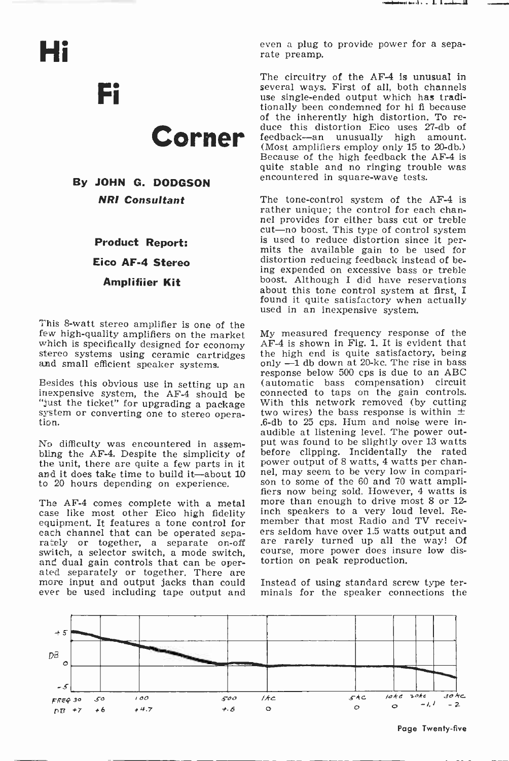Hi

Fi

# Corner

By JOHN G. DODGSON NR! Consultant

> Product Report: Eico AF -4 Stereo Amplifiier Kit

This 8-watt stereo amplifier is one of the few high-quality amplifiers on the market which is specifically designed for economy stereo systems using ceramic cartridges and small efficient speaker systems.

Besides this obvious use in setting up an inexpensive system, the AF-4 should be "just the ticket" for upgrading a package system or converting one to stereo operation.

No difficulty was encountered in assem- bling the AF -4. Despite the simplicity of the unit, there are quite a few parts in it spower output of 8 watts, 4 watts per chan-<br>and it does take time to build it—about 10 spel, may seem to be very low in compariand it does take time to build it-about 10 to 20 hours depending on experience.

rately or together, a separate on-off switch, a selector switch, a mode switch, and dual gain controls that can be oper-<br>ated separately or together. There are<br>more input and output jacks than could<br>ever be used including tape output and even a plug to provide power for a separate preamp.

The circuitry of the AF-4 is unusual in several ways. First of all, both channels use single-ended output which has traditionally been condemned for hi fi because<br>of the inherently high distortion. To reduce this distortion Eico uses 27-db of feedback---an unusually high amount. feedback-an unusually high (Most amplifiers employ only 15 to 20-db.) Because of the high feedback the AF-4 is quite stable and no ringing trouble was encountered in square-wave tests.

The tone-control system of the AF-4 is rather unique; the control for each channel provides for either bass cut or treble cut-no boost. This type of control system is used to reduce distortion since it per- mits the available gain to be used for distortion reducing feedback instead of being expended on excessive bass or treble boost. Although I did have reservations about this tone control system at first, I found it quite satisfactory when actually used in an inexpensive system.

The AF-4 comes complete with a metal more than enough to drive most 8 or 12-<br>case like most other Eico high fidelity inch speakers to a very loud level. Re-<br>equipment. It features a tone control for member that most Radio My measured frequency response of the AF -4 is shown in Fig. 1. It is evident that the high end is quite satisfactory, being  $only$   $-1$  db down at 20-kc. The rise in bass response below 500 cps is due to an ABC (automatic bass compensation) circuit connected to taps on the gain controls. With this network removed (by cutting two wires) the bass response is within  $\pm$ .6 -db to 25 cps. Hum and noise were in-audible at listening level. The power output was found to be slightly over 13 watts before clipping. Incidentally the rated power output of 8 watts, 4 watts per chanson to some of the 60 and 70 watt ampli-<br>fiers now being sold. However, 4 watts is member that most Radio and TV receivers seldom have over 1.5 watts output and are rarely turned up all the way! Of course, more power does insure low distortion on peak reproduction.

> Instead of using standard screw type terminals for the speaker connections the



Page Twenty-five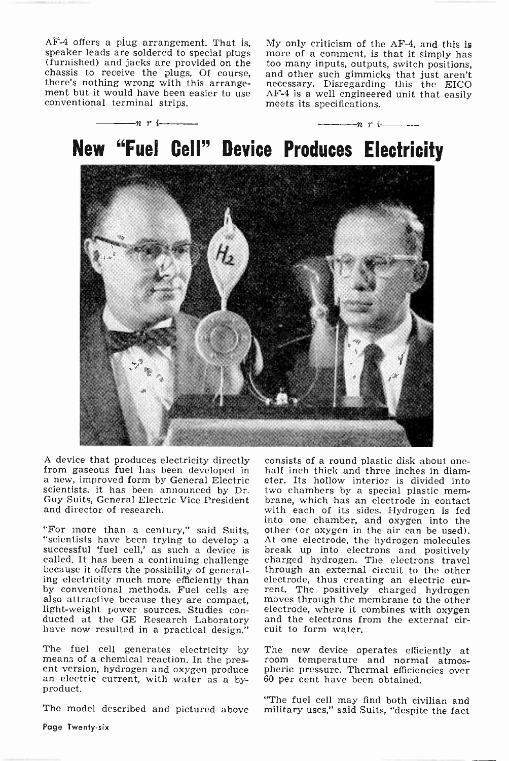$\overrightarrow{AF-4}$  offers a plug arrangement. That is, My only criticism of the AF-4, and this is speaker leads are soldered to special plugs (furnished) and jacks are provided on the too many inputs, outputs, switch positions, c there's nothing wrong with this arrange-<br>ment but it would have been easier to use<br>conventional terminal strips.

My only criticism of the AF-4, and this is and other such gimmicks that just aren't necessary. Disregarding this the EICO AF -4 is a well engineered unit that easily meets its specifications.



A device that produces electricity directly consists of a round plastic disk about one-<br>from gaseous fuel has been developed in a half inch thick and three inches in diam-<br>a new, improved form by General Electric eter. Its scientists, it has been announced by Dr. two chambers by a special plastic mem-<br>Guy Suits, General Electric Vice President brane, which has an electrode in contact Guy Suits, General Electric Vice President and director of research.

because it offers the possibility of generat-<br>ing electricity much more efficiently than<br>electrode, thus creating an electric cur-<br>by conventional methods. Fuel cells are rent. The positively charged hydrogen by conventional methods. Fuel cells are<br>also attractive because they are compact, light-weight power sources. Studies con-<br>ducted at the GE Research Laboratory and the electrons from the external cir-<br>have now resulted in a practical design." cuit to form water.

The fuel cell generates electricity by means of a chemical reaction. In the present version, hydrogen and oxygen produce an electric current, with water as a by- product.

"For more than a century," said Suits, other (or oxygen in the air can be used).<br>"scientists have been trying to develop a At one electrode, the hydrogen molecules<br>successful 'fuel cell,' as such a device is break up into half inch thick and three inches in diameter. Its hollow interior is divided into two chambers by a special plastic memwith each of its sides. Hydrogen is fed into one chamber, and oxygen into the At one electrode, the hydrogen molecules charged hydrogen. The electrons travel through an external circuit to the other moves through the membrane to the other electrode, where it combines with oxygen cuit to form water.

> The new device operates efficiently at room temperature and normal atmospheric pressure. Thermal efficiencies over 60 per cent have been obtained.

The fuel cell may find both civilian and<br>The model described and pictured above military uses." said Suits, "despite the fact military uses," said Suits, "despite the fact

Page Twenty-six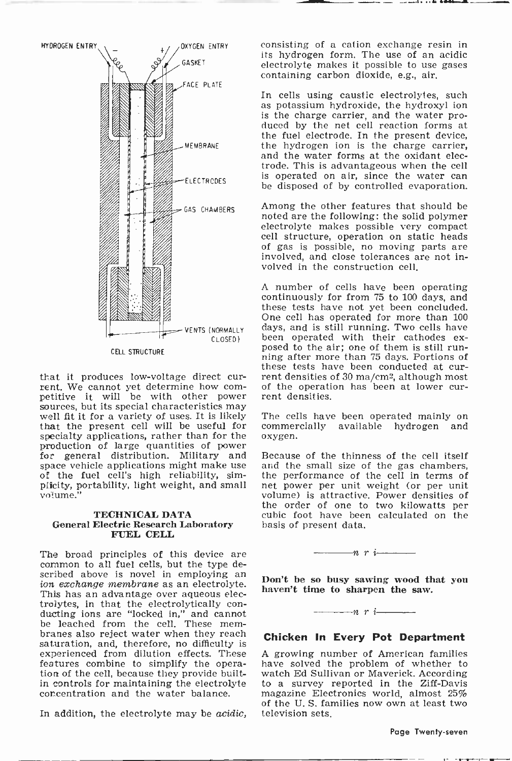

sources, but its special characteristics may<br>well fit it for a variety of uses. It is likely The cells have been operated mainly on that the present cell will be useful for specialty applications, rather than for the production of large quantities of power<br>for general distribution. Military and Because of the thinness of the cell itself<br>space vehicle applications might make use and the small size of the gas chambers, space vehicle applications might make use of the fuel cell's high reliability, simplicity, portability, light weight, and small volume."

### TECHNICAL DATA FUEL CELL

The broad principles of this device are common to all fuel cells, but the type described above is novel in employing an *ion exchange membrane* as an electrolyte.<br>This has an advantage over aqueous electrolytes, in that the electrolytically con- ducting ions are "locked in," and cannot be leached from the cell. These mem- branes also reject water when they reach saturation, and, therefore, no difficulty is experienced from dilution effects. These features combine to simplify the operation of the cell, because they provide built-<br>in controls for maintaining the electrolyte concentration and the water balance.

In addition, the electrolyte may be acidic,

consisting of a cation exchange resin in its hydrogen form. The use of an acidic electrolyte makes it possible to use gases containing carbon dioxide, e.g., air.

In cells using caustic electrolytes, such as potassium hydroxide, the hydroxyl ion is the charge carrier, and the water produced by the net cell reaction forms at the fuel electrode. In the present device, the hydrogen ion is the charge carrier, and the water forms at the oxidant electrode. This is advantageous when the cell be disposed of by controlled evaporation.

Among the other features that should be noted are the following: the solid polymer electrolyte makes possible very compact cell structure, operation on static heads of gas is possible, no moving parts are involved, and close tolerances are not involved in the construction cell.

that it produces low-voltage direct cur-<br>rent. We cannot yet determine how com-<br>petitive it will be with other power rent densities. <sup>A</sup>number of cells have been operating continuously for from 75 to 100 days, and these tests have not yet been concluded. One cell has operated for more than 100 days, and is still running. Two cells have<br>been operated with their cathodes exposed to the air; one of them is still running after more than 75 days. Portions of these tests have been conducted at curof the operation has been at lower cur-

> commercially available hydrogen and oxygen.

**TECHNICAL DATA** cubic foot have been calculated on the **General Electric Research Laboratory** basis of present data. Because of the thinness of the cell itself the performance of the cell in terms of net power per unit weight (or per unit volume) is attractive. Power densities of the order of one to two kilowatts per basis of present data.



Don't be so busy sawing wood that you haven't time to sharpen the saw.

 $\cdots$  r i  $\cdots$ 

### Chicken In Every Pot Department

A growing number of American families have solved the problem of whether to watch Ed Sullivan or Maverick. According to a survey reported in the Ziff-Davis magazine Electronics world, almost 25% of the U. S. families now own at least two television sets.

Page Twenty-seven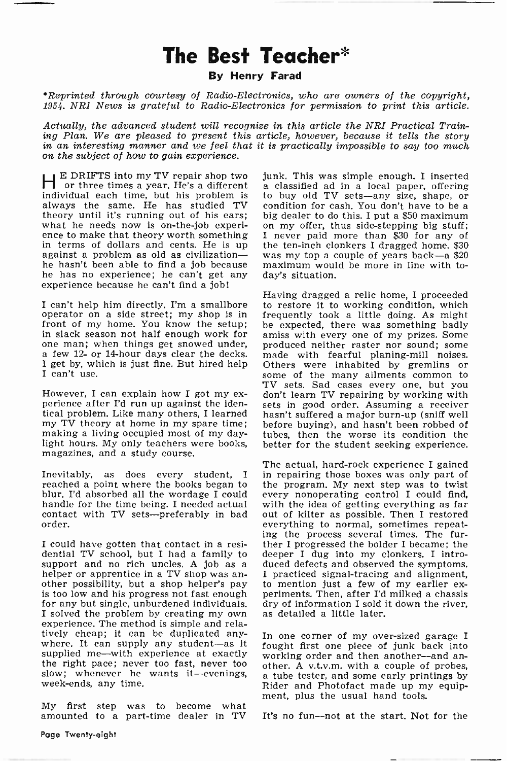### The Best Teacher\*

### By Henry Farad

\*Reprinted through courtesy of Radio -Electronics, who are owners of the copyright, 1954. NRI News is grateful to Radio -Electronics for permission to print this article.

Actually, the advanced student will recognize in this article the NRI Practical Train-<br>ing Plan. We are pleased to present this article, however, because it tells the story in an interesting manner and we feel that it is practically impossible to say too much on the subject of how to gain experience.

E DRIFTS into my TV repair shop two junk. This was simple enough. I inserted or three times a year. He's a different a classified ad in a local paper, offering individual each time, but his problem is to buy old TV sets—any size, shape, or<br>always the same. He has studied TV condition for cash. You don't have to be a always the same. He has studied TV condition for cash. You don't have to be a theory until it's running out of his ears; big dealer to do this. I put a \$50 maximum theory until it's running out of his ears; big dealer to do this. I put a \$50 maximum<br>what he needs now is on-the-job experi- on my offer, thus side-stepping big stuff; ence to make that theory worth something<br>in terms of dollars and cents. He is up<br>against a problem as old as civilizationhe hasn't been able to find a job because he has no experience; he can't get any experience because he can't find a job!

I can't help him directly. I'm a smallbore operator on a side street; my shop is in - frequently took a little doing. As might<br>front of my home. You know the setup; - be expected, there was something badly front of my home. You know the setup;<br>in slack season not half enough work for one man; when things get snowed under, produced neither raster nor sound; some a few 12- or 14-hour days clear the decks. made with fearful planing-mill noises.

However, I can explain how I got my ex-<br>perience after I'd run up against the identical problem. Like many others, I learned my TV theory at home in my spare time; making a living occupied most of my day- light hours. My only teachers were books, magazines, and a study course.

Inevitably, as does every student, I reached a point where the books began to blur. I'd absorbed all the wordage I could handle for the time being. I needed actual contact with TV sets-preferably in bad order.

I could have gotten that contact in a residential TV school, but I had a family to<br>support and no rich uncles. A job as a helper or apprentice in a TV shop was an- I practiced signal-tracing and alignment, other possibility, but a shop helper's pay to mention just a few of my earlier exis too low and his progress not fast enough periments. Th is too low and his progress not fast enough periments. Then, after I'd<br>for any but single, unburdened individuals. dry of information I sold i<br>I solved the problem by creating my own as detailed a little later. experience. The method is simple and relatively cheap; it can be duplicated anywhere. It can supply any student-as it<br>supplied me-with experience at exactly the right pace; never too fast, never too other. A v.t.v.m. with a couple of probes, slow; whenever he wants it-evenings, week-ends, any time.

My first step was to become what amounted to a part-time dealer in TV

junk. This was simple enough. I inserted to buy old TV sets-any size, shape, or I never paid more than \$30 for any of<br>the ten-inch clonkers I dragged home. \$30 was my top a couple of years back--a \$20 maximum would be more in line with today's situation.

I get by, which is just fine. But hired help Others were inhabited by gremlins or I can't use. Having dragged a relic home, I proceeded to restore it to working condition, which frequently took a little doing. As might amiss with every one of my prizes. Some made with fearful planing-mill noises. Others were inhabited by gremlins or some of the many ailments common to TV sets. Sad cases every one, but you don't learn TV repairing by working with sets in good order. Assuming a receiver hasn't suffered a major burn-up (sniff well before buying), and hasn't been robbed of tubes, then the worse its condition the better for the student seeking experience.

> The actual, hard-rock experience I gained in repairing those boxes was only part of the program. My next step was to twist every nonoperating control I could find, with the idea of getting everything as far out of kilter as possible. Then I restored everything to normal, sometimes repeat- ing the process several times. The further I progressed the bolder I became; the deeper I dug into my clonkers. I introduced defects and observed the symptoms. I practiced signal-tracing and alignment, to mention just a few of my earlier exdry of information I sold it down the river,

> In one corner of my over -sized garage I fought first one piece of junk back into working order and then another--and another. A v.t.v.m. with a couple of probes, a tube tester, and some early printings by Rider and Photofact made up my equipment, plus the usual hand tools.

It's no fun-not at the start. Not for the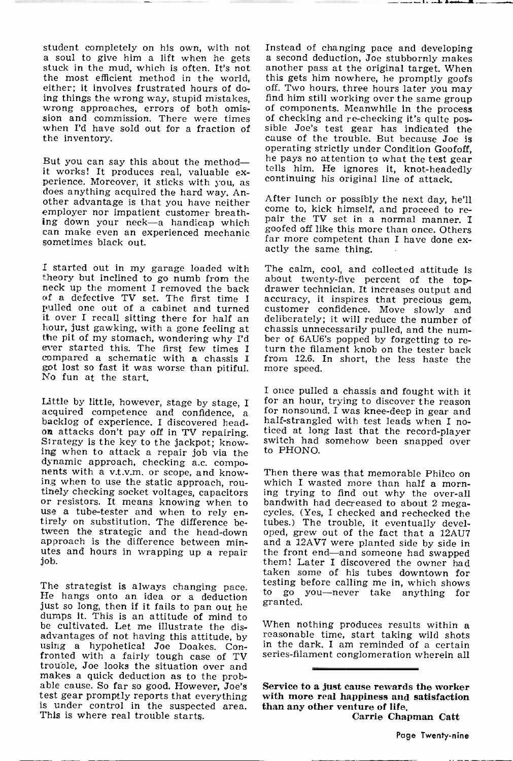student completely on his own, with not Instead of changing pace and developing<br>a soul to give him a lift when he gets a second deduction, Joe stubbornly makes<br>stuck in the mud, which is often. It's not another pass at the the most efficient method in the world, either; it involves frustrated hours of doeither; it involves frustrated hours of do-<br>ing things the wrong way, stupid mistakes, find him still working over the same group<br>wrong approaches, errors of both omis-<br>of components. Meanwhile in the process wrong approaches, errors of both omission and commission. There were times of checking and re-checking it's quite poswhen I'd have sold out for a fraction of sible Joe's test gear has indicated the the inventory. the inventory.

But you can say this about the method—<br>it works! It produces real, valuable experience. Moreover, it sticks with you, as does anything acquired the hard way. Another advantage is that you have neither After lunch or possibly the next day, he'll employer nor impatient customer breathemproyer not impact the discomer because of the TV set in a normal manner. I<br>ing down your neck-a handicap which can make even an experienced mechanic<br>sometimes black out sometimes black out.

I started out in my garage loaded with The calm, cool, and collected attitude is theory but inclined to go numb from the about twenty-five percent of the toptheory but inclined to go numb from the neck up the moment I removed the back of a defective TV set. The first time I pulled one out of a cabinet and turned<br>it over I recall sitting there for half an hour, just gawking, with a gone feeling at chassis unnecessarily pulled, and the num-<br>the pit of my stomach, wondering why I'd ber of 6AU6's popped by forgetting to rethe pit of my stomach, wondering why I'd ever started this. The first few times <sup>I</sup> compared a schematic with a chassis I from  $12.6$ , got lost so fast it was worse than pitiful. more speed. got lost so fast it was worse than pitiful. No fun at the start.

Little by little, however, stage by stage, I acquired competence and confidence, a backlog of experience. I discovered head-<br>on attacks don't pay off in TV repairing.<br>Strategy is the key to the jackpot; know-Strategy is the key to the jackpot;  $know$  switch had somehow been snapped over ing when to attack a repair job via the to PHONO. dynamic approach, checking a.c. compo-<br>nents with a v.t.v.m. or scope, and knownents with a v.t.v.m. or scope, and know-<br>ing when to use the static approach, rou-<br>which I wasted more than half a morn-<br>tinely checking socket voltages, capacitors ing trying to find out why the over-all<br>or resistors. It or resistors. It means knowing when to use a tube -tester and when to rely en- tirely on substitution. The difference between the strategic and the head -down approach is the difference between minutes and hours in wrapping up a repair the front end—and someone had swapped job.

The strategist is always changing pace. He hangs onto an idea or a deduction just so long, then if it fails to pan out he dumps it. This is an attitude of mind to<br>be cultivated. Let me illustrate the disadvantages of not having this attitude, by using a hypohetical Joe Doakes. Confronted with a fairly tough case of TV trouble, Joe looks the situation over and makes a quick deduction as to the prob- able cause. So far so good. However, Joe's test gear promptly reports that everything is under control in the suspected area. This is where real trouble starts.

Instead of changing pace and developing another pass at the original target. When sible Joe's test gear has indicated the<br>cause of the trouble. But because Joe is<br>operating strictly under Condition Goofoff. he pays no attention to what the test gear<br>tells him. He ignores it, knot-headedly<br>continuing his original line of attack.

come to, kick himself, and proceed to regoofed off like this more than once. Others far more competent than I have done ex-<br>actly the same thing.

The calm, cool, and collected attitude is drawer technician. It increases output and accuracy, it inspires that precious gem, customer confidence. Move slowly and deliberately; it will reduce the number of turn the filament knob on the tester back from 12.6. In short, the less haste the

I once pulled a chassis and fought with it for an hour, trying to discover the reason for nonsound. I was knee-deep in gear and ticed at long last that the record-player

which I wasted more than half a morncycles. (Yes, I checked and rechecked the tubes.) The trouble, it eventually developed, grew out of the fact that a 12AU7 and a 12AV7 were planted side by side in them! Later I discovered the owner had taken some of his tubes downtown for testing before calling me in, which shows to go you-never take anything for granted.

When nothing produces results within a reasonable time, start taking wild shots in the dark. I am reminded of a certain series -filament conglomeration wherein all

Service to a just cause rewards the worker with more real happiness and satisfaction than any other venture of life. Carrie Chapman Catt

Page Twenty-nine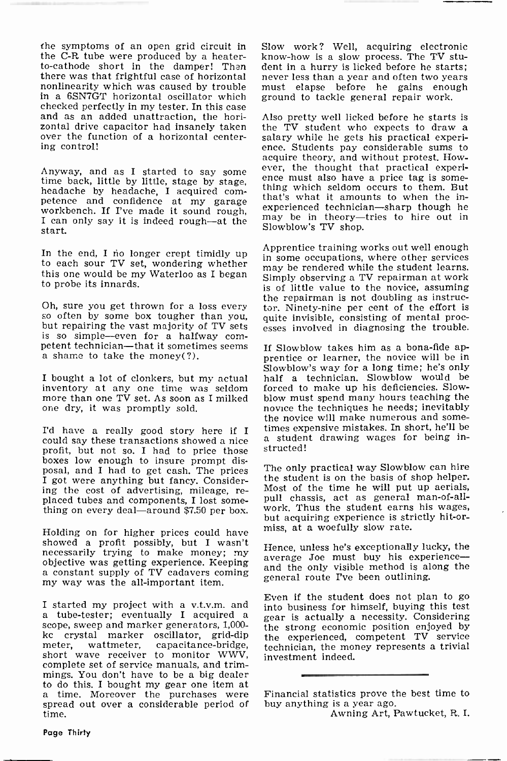the symptoms of an open grid circuit in to-cathode short in the damper! Then there was that frightful case of horizontal nonlinearity which was caused by trouble must elapse before he gains enou<br>in a 6SN7GT horizontal oscillator which ground to tackle general repair work. in a 6SN7GT horizontal oscillator which and as an added unattraction, the horizontal drive capacitor had insanely taken over the function of a horizontal centering control!

start.

In the end, I no longer crept timidly up to each sour TV set, wondering whether this one would be my Waterloo as I began to probe its innards.

Oh, sure you get thrown for a loss every tor. Ninety-nine per cent of the effort is so often by some box tougher than you, quite invisible, consisting of mental proc-<br>but repairing the vast majority of TV sets esses involv is so simple—even for a halfway com-<br>petent technician—that it sometimes seems<br>a shame to take the money(?).

I bought a lot of clonkers, but my actual more than one TV set. As soon as I milked<br>one dry, it was promptly sold.

I'd have a really good story here if I times expensive mistakes. In short, he'll be<br>could say these transactions showed a nice a student drawing wages for being incould say these transactions showed a nice profit, but not so. I had to price those boxes low enough to insure prompt disposal, and I had to get cash. The prices I got were anything but fancy. Considering the cost of advertising, mileage, replaced tubes and components, I lost some-<br>thing on every deal-around \$7.50 per box. work. Thus the student earns his wages,

Holding on for higher prices could have showed a profit possibly, but I wasn't<br>necessarily trying to make money; my objective was getting experience. Keeping<br>a constant supply of TV cadavers coming my way was the all-important item.

I started my project with a v.t.v.m. and<br>a tube-tester; eventually I acquired a<br>scope, sweep and marker generators, 1,000-<br>kc crystal marker oscillator, grid-dip kc crystal marker oscillator, grid-dip<br>meter, wattmeter, capacitance-bridge, meter, wattercool, capacitance ortuge, short wave receiver to monitor WWV, complete set of service manuals, and trimmings. You don't have to be a big dealer<br>to do this. I bought my gear one item at a time. Moreover the purchases were spread out over a considerable period of time.

Slow work? Well, acquiring electronic know-how is a slow process. The TV student in a hurry is licked before he starts; never less than a year and often two years must elapse before he gains enough

Anyway, and as I started to say some ever, the thought that practical experi-<br>time back, little by little, stage by stage, the must also have a price tag is some-<br>headache by headache, I acquired com-<br>petence and confidenc Also pretty well licked before he starts is<br>the TV student who expects to draw a salary while he gets his practical experi-<br>ence. Students pay considerable sums to acquire theory, and without protest. Howthing which seldom occurs to them. But that's what it amounts to when the inexperienced technician-sharp though he may be in theory-tries to hire out in Slowblow's TV shop.

> Apprentice training works out well enough in some occupations, where other services may be rendered while the student learns. Simply observing a TV repairman at work is of little value to the novice, assuming the repairman is not doubling as instructor. Ninety-nine per cent of the effort is quite invisible, consisting of mental proc-

> If Slowblow takes him as a bona-fide apprentice or learner, the novice will be in Slowblow's way for a long time; he's only half a technician. Slowblow would be forced to make up his deficiencies. Slow-<br>blow must spend many hours teaching the novice the techniques he needs; inevitably times expensive mistakes. In short, he'll be structed!

> The only practical way Slowblow can hire the student is on the basis of shop helper. Most of the time he will put up aerials, pull chassis, act as general man-of-allbut acquiring experience is strictly hit-ormiss, at a woefully slow rate.

> Hence, unless he's exceptionally lucky, the average Joe must buy his experienceand the only visible method is along the general route I've been outlining.

> Even if the student does not plan to go into business for himself, buying this test gear is actually a necessity. Considering the strong economic position enjoyed by the experienced, competent TV service technician, the money represents a trivial investment indeed.

> Financial statistics prove the best time to buy anything is a year ago.

Awning Art, Pawtucket, R. I.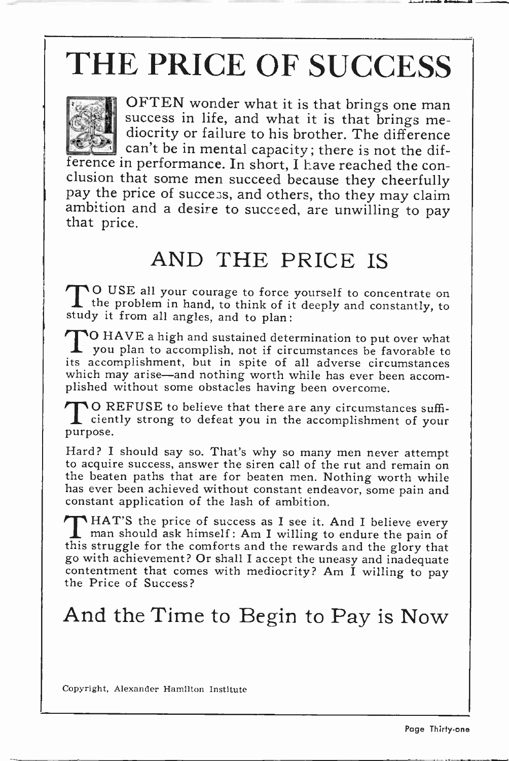# THE PRICE OF SUCCESS



OFTEN wonder what it is that brings one man success in life, and what it is that brings mediocrity or failure to his brother. The difference can't be in mental capacity; there is not the dif-

ference in performance. In short, I have reached the conclusion that some men succeed because they cheerfully pay the price of success, and others, tho they may claim ambition and a desire to succeed, are unwilling to pay that price.

### AND THE PRICE IS

<sup>O</sup>USE all your courage to force yourself to concentrate on the problem in hand, to think of it deeply and constantly, to study it from all angles, and to plan:

TO HAVE a high and sustained determination to put over what you plan to accomplish, not if circumstances be favorable to its accomplishment, but in spite of all adverse circumstances which may arise-and nothing worth while has ever been accomplished without some obstacles having been overcome.

**TO REFUSE to believe that there are any circumstances suffi-**I ciently strong to defeat you in the accomplishment of your purpose.

Hard? I should say so. That's why so many men never attempt to acquire success, answer the siren call of the rut and remain on the beaten paths that are for beaten men. Nothing worth while has ever been achieved without constant endeavor, some pain and constant application of the lash of ambition.

**THAT'S** the price of success as I see it. And I believe every man should ask himself : Am I willing to endure the pain of this struggle for the comforts and the rewards and the glory that go with achievement? Or shall I accept the uneasy and inadequate contentment that comes with mediocrity? Am I willing to pay the Price of Success?

## And the Time to Begin to Pay is Now